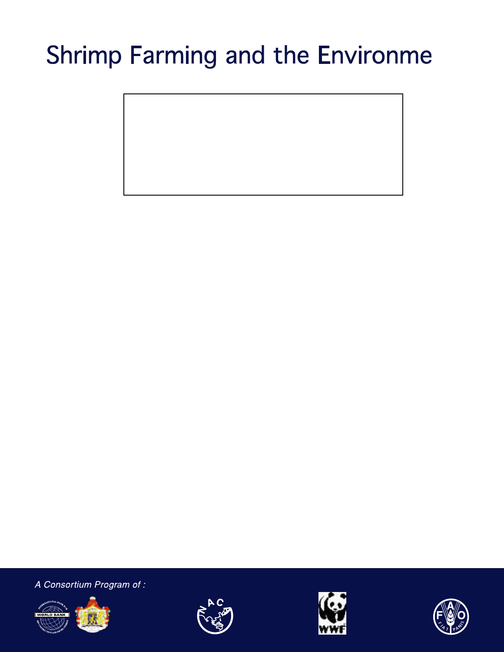# **Shrimp Farming and**

A Consortium Program of :







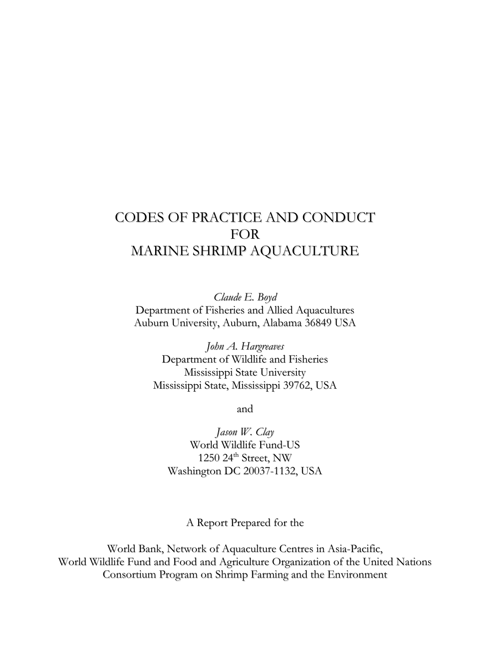# CODES OF PRACTICE AND CONDUCT FOR MARINE SHRIMP AQUACULTURE

*Claude E. Boyd* Department of Fisheries and Allied Aquacultures Auburn University, Auburn, Alabama 36849 USA

*John A. Hargreaves* Department of Wildlife and Fisheries Mississippi State University Mississippi State, Mississippi 39762, USA

and

*Jason W. Clay* World Wildlife Fund-US 1250  $24<sup>th</sup>$  Street, NW Washington DC 20037-1132, USA

A Report Prepared for the

World Bank, Network of Aquaculture Centres in Asia-Pacific, World Wildlife Fund and Food and Agriculture Organization of the United Nations Consortium Program on Shrimp Farming and the Environment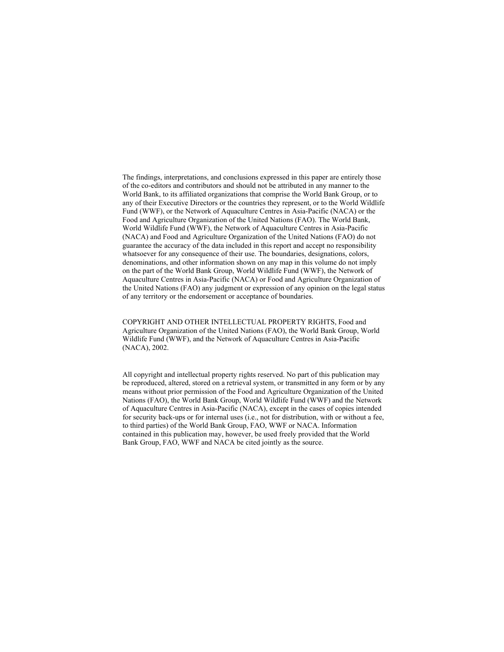The findings, interpretations, and conclusions expressed in this paper are entirely those of the co-editors and contributors and should not be attributed in any manner to the World Bank, to its affiliated organizations that comprise the World Bank Group, or to any of their Executive Directors or the countries they represent, or to the World Wildlife Fund (WWF), or the Network of Aquaculture Centres in Asia-Pacific (NACA) or the Food and Agriculture Organization of the United Nations (FAO). The World Bank, World Wildlife Fund (WWF), the Network of Aquaculture Centres in Asia-Pacific (NACA) and Food and Agriculture Organization of the United Nations (FAO) do not guarantee the accuracy of the data included in this report and accept no responsibility whatsoever for any consequence of their use. The boundaries, designations, colors, denominations, and other information shown on any map in this volume do not imply on the part of the World Bank Group, World Wildlife Fund (WWF), the Network of Aquaculture Centres in Asia-Pacific (NACA) or Food and Agriculture Organization of the United Nations (FAO) any judgment or expression of any opinion on the legal status of any territory or the endorsement or acceptance of boundaries.

COPYRIGHT AND OTHER INTELLECTUAL PROPERTY RIGHTS, Food and Agriculture Organization of the United Nations (FAO), the World Bank Group, World Wildlife Fund (WWF), and the Network of Aquaculture Centres in Asia-Pacific (NACA), 2002.

All copyright and intellectual property rights reserved. No part of this publication may be reproduced, altered, stored on a retrieval system, or transmitted in any form or by any means without prior permission of the Food and Agriculture Organization of the United Nations (FAO), the World Bank Group, World Wildlife Fund (WWF) and the Network of Aquaculture Centres in Asia-Pacific (NACA), except in the cases of copies intended for security back-ups or for internal uses (i.e., not for distribution, with or without a fee, to third parties) of the World Bank Group, FAO, WWF or NACA. Information contained in this publication may, however, be used freely provided that the World Bank Group, FAO, WWF and NACA be cited jointly as the source.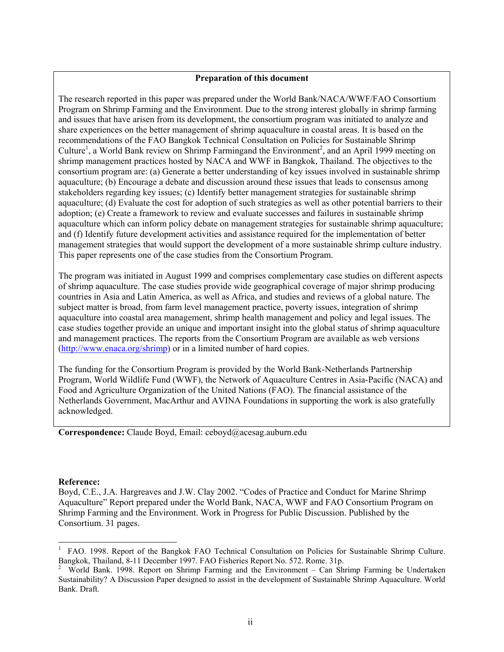#### **Preparation of this document**

The research reported in this paper was prepared under the World Bank/NACA/WWF/FAO Consortium Program on Shrimp Farming and the Environment. Due to the strong interest globally in shrimp farming and issues that have arisen from its development, the consortium program was initiated to analyze and share experiences on the better management of shrimp aquaculture in coastal areas. It is based on the recommendations of the FAO Bangkok Technical Consultation on Policies for Sustainable Shrimp Culture<sup>[1](#page-3-0)</sup>, a World Bank review on Shrimp Farmingand the Environment<sup>2</sup>, and an April 1999 meeting on shrimp management practices hosted by NACA and WWF in Bangkok, Thailand. The objectives to the consortium program are: (a) Generate a better understanding of key issues involved in sustainable shrimp aquaculture; (b) Encourage a debate and discussion around these issues that leads to consensus among stakeholders regarding key issues; (c) Identify better management strategies for sustainable shrimp aquaculture; (d) Evaluate the cost for adoption of such strategies as well as other potential barriers to their adoption; (e) Create a framework to review and evaluate successes and failures in sustainable shrimp aquaculture which can inform policy debate on management strategies for sustainable shrimp aquaculture; and (f) Identify future development activities and assistance required for the implementation of better management strategies that would support the development of a more sustainable shrimp culture industry. This paper represents one of the case studies from the Consortium Program.

The program was initiated in August 1999 and comprises complementary case studies on different aspects of shrimp aquaculture. The case studies provide wide geographical coverage of major shrimp producing countries in Asia and Latin America, as well as Africa, and studies and reviews of a global nature. The subject matter is broad, from farm level management practice, poverty issues, integration of shrimp aquaculture into coastal area management, shrimp health management and policy and legal issues. The case studies together provide an unique and important insight into the global status of shrimp aquaculture and management practices. The reports from the Consortium Program are available as web versions (<http://www.enaca.org/shrimp>) or in a limited number of hard copies.

The funding for the Consortium Program is provided by the World Bank-Netherlands Partnership Program, World Wildlife Fund (WWF), the Network of Aquaculture Centres in Asia-Pacific (NACA) and Food and Agriculture Organization of the United Nations (FAO). The financial assistance of the Netherlands Government, MacArthur and AVINA Foundations in supporting the work is also gratefully acknowledged.

**Correspondence:** Claude Boyd, Email: ceboyd@acesag.auburn.edu

#### **Reference:**

l

Boyd, C.E., J.A. Hargreaves and J.W. Clay 2002. "Codes of Practice and Conduct for Marine Shrimp Aquaculture" Report prepared under the World Bank, NACA, WWF and FAO Consortium Program on Shrimp Farming and the Environment. Work in Progress for Public Discussion. Published by the Consortium. 31 pages.

<span id="page-3-0"></span><sup>1</sup> FAO. 1998. Report of the Bangkok FAO Technical Consultation on Policies for Sustainable Shrimp Culture. Bangkok, Thailand, 8-11 December 1997. FAO Fisheries Report No. 572. Rome. 31p.<br><sup>2</sup> World Bank, 1998. Report on Shrimn Farming and the Environment – Can Shr

<span id="page-3-1"></span>World Bank. 1998. Report on Shrimp Farming and the Environment – Can Shrimp Farming be Undertaken Sustainability? A Discussion Paper designed to assist in the development of Sustainable Shrimp Aquaculture. World Bank. Draft.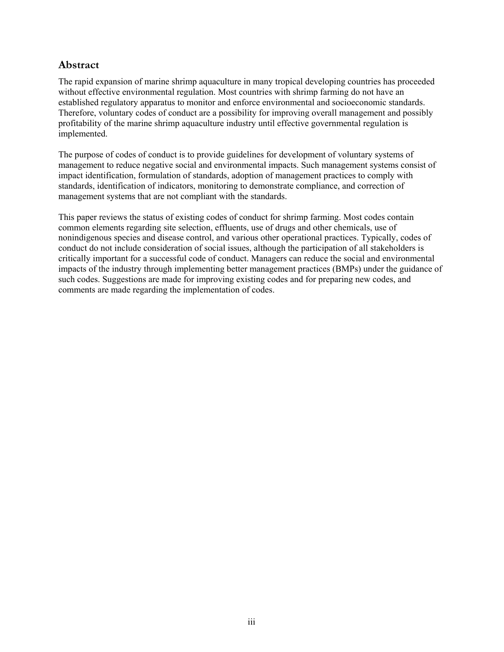## <span id="page-4-0"></span>**Abstract**

The rapid expansion of marine shrimp aquaculture in many tropical developing countries has proceeded without effective environmental regulation. Most countries with shrimp farming do not have an established regulatory apparatus to monitor and enforce environmental and socioeconomic standards. Therefore, voluntary codes of conduct are a possibility for improving overall management and possibly profitability of the marine shrimp aquaculture industry until effective governmental regulation is implemented.

The purpose of codes of conduct is to provide guidelines for development of voluntary systems of management to reduce negative social and environmental impacts. Such management systems consist of impact identification, formulation of standards, adoption of management practices to comply with standards, identification of indicators, monitoring to demonstrate compliance, and correction of management systems that are not compliant with the standards.

This paper reviews the status of existing codes of conduct for shrimp farming. Most codes contain common elements regarding site selection, effluents, use of drugs and other chemicals, use of nonindigenous species and disease control, and various other operational practices. Typically, codes of conduct do not include consideration of social issues, although the participation of all stakeholders is critically important for a successful code of conduct. Managers can reduce the social and environmental impacts of the industry through implementing better management practices (BMPs) under the guidance of such codes. Suggestions are made for improving existing codes and for preparing new codes, and comments are made regarding the implementation of codes.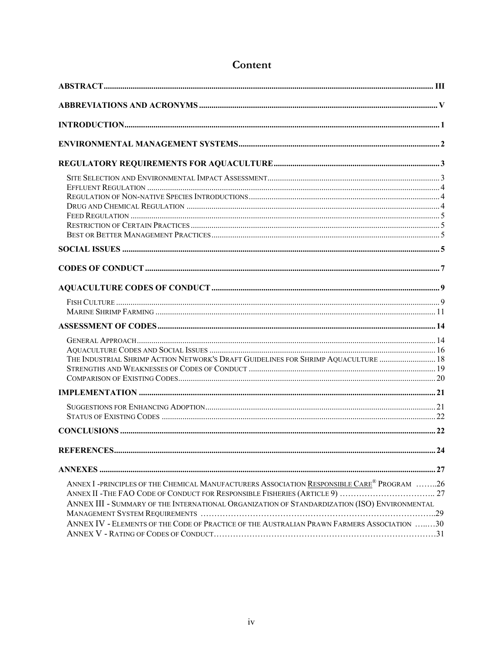| THE INDUSTRIAL SHRIMP ACTION NETWORK'S DRAFT GUIDELINES FOR SHRIMP AQUACULTURE  18                                                                                                                                                                                                                   |    |
|------------------------------------------------------------------------------------------------------------------------------------------------------------------------------------------------------------------------------------------------------------------------------------------------------|----|
|                                                                                                                                                                                                                                                                                                      |    |
|                                                                                                                                                                                                                                                                                                      |    |
|                                                                                                                                                                                                                                                                                                      |    |
|                                                                                                                                                                                                                                                                                                      |    |
|                                                                                                                                                                                                                                                                                                      |    |
| ANNEX I -PRINCIPLES OF THE CHEMICAL MANUFACTURERS ASSOCIATION RESPONSIBLE CARE <sup>®</sup> PROGRAM 26<br>ANNEX III - SUMMARY OF THE INTERNATIONAL ORGANIZATION OF STANDARDIZATION (ISO) ENVIRONMENTAL<br>ANNEX IV - ELEMENTS OF THE CODE OF PRACTICE OF THE AUSTRALIAN PRAWN FARMERS ASSOCIATION 30 | 29 |

# Content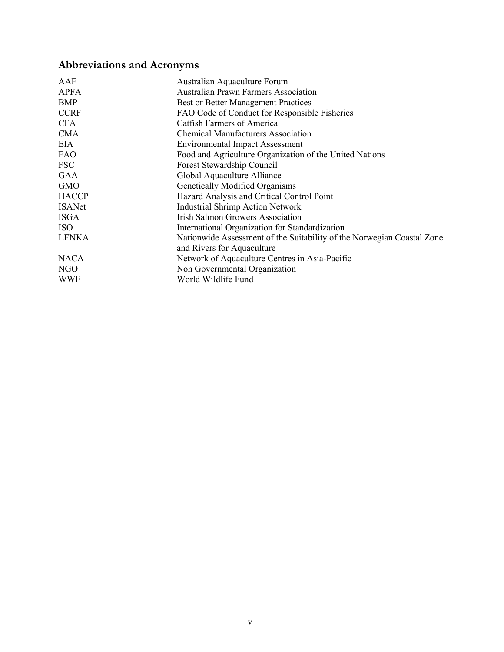# <span id="page-6-0"></span>**Abbreviations and Acronyms**

| AAF           | Australian Aquaculture Forum                                           |
|---------------|------------------------------------------------------------------------|
| <b>APFA</b>   | <b>Australian Prawn Farmers Association</b>                            |
| BMP           | <b>Best or Better Management Practices</b>                             |
| <b>CCRF</b>   | FAO Code of Conduct for Responsible Fisheries                          |
| <b>CFA</b>    | Catfish Farmers of America                                             |
| <b>CMA</b>    | <b>Chemical Manufacturers Association</b>                              |
| EIA           | <b>Environmental Impact Assessment</b>                                 |
| <b>FAO</b>    | Food and Agriculture Organization of the United Nations                |
| <b>FSC</b>    | Forest Stewardship Council                                             |
| GAA           | Global Aquaculture Alliance                                            |
| <b>GMO</b>    | Genetically Modified Organisms                                         |
| <b>HACCP</b>  | Hazard Analysis and Critical Control Point                             |
| <b>ISANet</b> | <b>Industrial Shrimp Action Network</b>                                |
| <b>ISGA</b>   | <b>Irish Salmon Growers Association</b>                                |
| <b>ISO</b>    | International Organization for Standardization                         |
| <b>LENKA</b>  | Nationwide Assessment of the Suitability of the Norwegian Coastal Zone |
|               | and Rivers for Aquaculture                                             |
| <b>NACA</b>   | Network of Aquaculture Centres in Asia-Pacific                         |
| NGO           | Non Governmental Organization                                          |
| WWF           | World Wildlife Fund                                                    |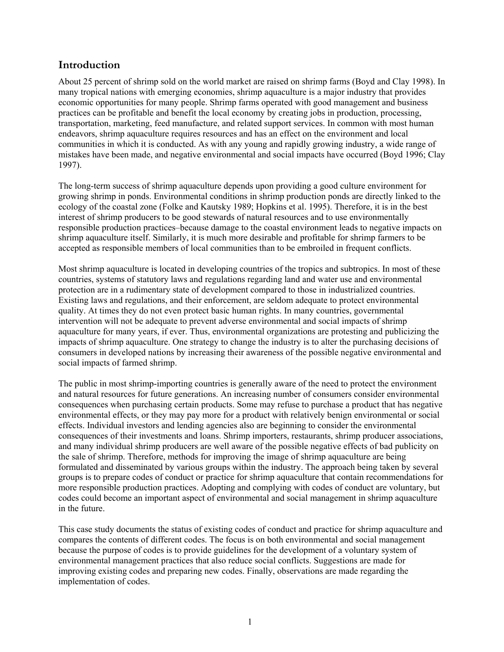## <span id="page-7-0"></span>**Introduction**

About 25 percent of shrimp sold on the world market are raised on shrimp farms (Boyd and Clay 1998). In many tropical nations with emerging economies, shrimp aquaculture is a major industry that provides economic opportunities for many people. Shrimp farms operated with good management and business practices can be profitable and benefit the local economy by creating jobs in production, processing, transportation, marketing, feed manufacture, and related support services. In common with most human endeavors, shrimp aquaculture requires resources and has an effect on the environment and local communities in which it is conducted. As with any young and rapidly growing industry, a wide range of mistakes have been made, and negative environmental and social impacts have occurred (Boyd 1996; Clay 1997).

The long-term success of shrimp aquaculture depends upon providing a good culture environment for growing shrimp in ponds. Environmental conditions in shrimp production ponds are directly linked to the ecology of the coastal zone (Folke and Kautsky 1989; Hopkins et al. 1995). Therefore, it is in the best interest of shrimp producers to be good stewards of natural resources and to use environmentally responsible production practices–because damage to the coastal environment leads to negative impacts on shrimp aquaculture itself. Similarly, it is much more desirable and profitable for shrimp farmers to be accepted as responsible members of local communities than to be embroiled in frequent conflicts.

Most shrimp aquaculture is located in developing countries of the tropics and subtropics. In most of these countries, systems of statutory laws and regulations regarding land and water use and environmental protection are in a rudimentary state of development compared to those in industrialized countries. Existing laws and regulations, and their enforcement, are seldom adequate to protect environmental quality. At times they do not even protect basic human rights. In many countries, governmental intervention will not be adequate to prevent adverse environmental and social impacts of shrimp aquaculture for many years, if ever. Thus, environmental organizations are protesting and publicizing the impacts of shrimp aquaculture. One strategy to change the industry is to alter the purchasing decisions of consumers in developed nations by increasing their awareness of the possible negative environmental and social impacts of farmed shrimp.

The public in most shrimp-importing countries is generally aware of the need to protect the environment and natural resources for future generations. An increasing number of consumers consider environmental consequences when purchasing certain products. Some may refuse to purchase a product that has negative environmental effects, or they may pay more for a product with relatively benign environmental or social effects. Individual investors and lending agencies also are beginning to consider the environmental consequences of their investments and loans. Shrimp importers, restaurants, shrimp producer associations, and many individual shrimp producers are well aware of the possible negative effects of bad publicity on the sale of shrimp. Therefore, methods for improving the image of shrimp aquaculture are being formulated and disseminated by various groups within the industry. The approach being taken by several groups is to prepare codes of conduct or practice for shrimp aquaculture that contain recommendations for more responsible production practices. Adopting and complying with codes of conduct are voluntary, but codes could become an important aspect of environmental and social management in shrimp aquaculture in the future.

This case study documents the status of existing codes of conduct and practice for shrimp aquaculture and compares the contents of different codes. The focus is on both environmental and social management because the purpose of codes is to provide guidelines for the development of a voluntary system of environmental management practices that also reduce social conflicts. Suggestions are made for improving existing codes and preparing new codes. Finally, observations are made regarding the implementation of codes.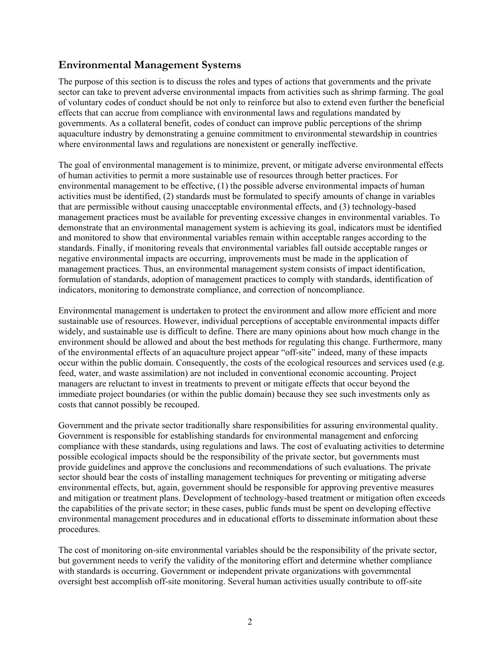## <span id="page-8-0"></span>**Environmental Management Systems**

The purpose of this section is to discuss the roles and types of actions that governments and the private sector can take to prevent adverse environmental impacts from activities such as shrimp farming. The goal of voluntary codes of conduct should be not only to reinforce but also to extend even further the beneficial effects that can accrue from compliance with environmental laws and regulations mandated by governments. As a collateral benefit, codes of conduct can improve public perceptions of the shrimp aquaculture industry by demonstrating a genuine commitment to environmental stewardship in countries where environmental laws and regulations are nonexistent or generally ineffective.

The goal of environmental management is to minimize, prevent, or mitigate adverse environmental effects of human activities to permit a more sustainable use of resources through better practices. For environmental management to be effective, (1) the possible adverse environmental impacts of human activities must be identified, (2) standards must be formulated to specify amounts of change in variables that are permissible without causing unacceptable environmental effects, and (3) technology-based management practices must be available for preventing excessive changes in environmental variables. To demonstrate that an environmental management system is achieving its goal, indicators must be identified and monitored to show that environmental variables remain within acceptable ranges according to the standards. Finally, if monitoring reveals that environmental variables fall outside acceptable ranges or negative environmental impacts are occurring, improvements must be made in the application of management practices. Thus, an environmental management system consists of impact identification, formulation of standards, adoption of management practices to comply with standards, identification of indicators, monitoring to demonstrate compliance, and correction of noncompliance.

Environmental management is undertaken to protect the environment and allow more efficient and more sustainable use of resources. However, individual perceptions of acceptable environmental impacts differ widely, and sustainable use is difficult to define. There are many opinions about how much change in the environment should be allowed and about the best methods for regulating this change. Furthermore, many of the environmental effects of an aquaculture project appear "off-site" indeed, many of these impacts occur within the public domain. Consequently, the costs of the ecological resources and services used (e.g. feed, water, and waste assimilation) are not included in conventional economic accounting. Project managers are reluctant to invest in treatments to prevent or mitigate effects that occur beyond the immediate project boundaries (or within the public domain) because they see such investments only as costs that cannot possibly be recouped.

Government and the private sector traditionally share responsibilities for assuring environmental quality. Government is responsible for establishing standards for environmental management and enforcing compliance with these standards, using regulations and laws. The cost of evaluating activities to determine possible ecological impacts should be the responsibility of the private sector, but governments must provide guidelines and approve the conclusions and recommendations of such evaluations. The private sector should bear the costs of installing management techniques for preventing or mitigating adverse environmental effects, but, again, government should be responsible for approving preventive measures and mitigation or treatment plans. Development of technology-based treatment or mitigation often exceeds the capabilities of the private sector; in these cases, public funds must be spent on developing effective environmental management procedures and in educational efforts to disseminate information about these procedures.

The cost of monitoring on-site environmental variables should be the responsibility of the private sector, but government needs to verify the validity of the monitoring effort and determine whether compliance with standards is occurring. Government or independent private organizations with governmental oversight best accomplish off-site monitoring. Several human activities usually contribute to off-site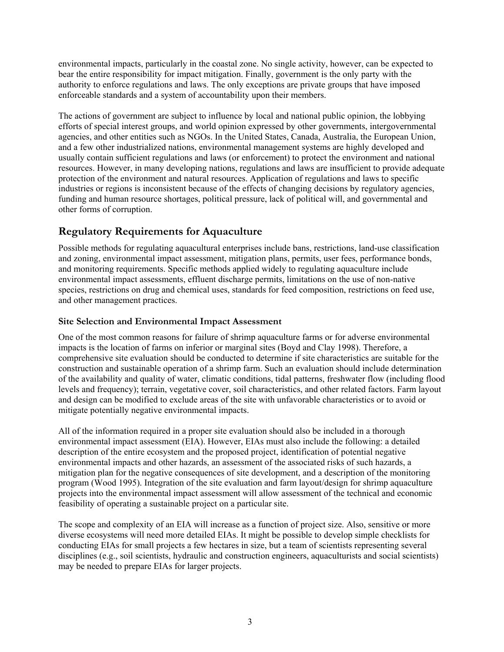<span id="page-9-0"></span>environmental impacts, particularly in the coastal zone. No single activity, however, can be expected to bear the entire responsibility for impact mitigation. Finally, government is the only party with the authority to enforce regulations and laws. The only exceptions are private groups that have imposed enforceable standards and a system of accountability upon their members.

The actions of government are subject to influence by local and national public opinion, the lobbying efforts of special interest groups, and world opinion expressed by other governments, intergovernmental agencies, and other entities such as NGOs. In the United States, Canada, Australia, the European Union, and a few other industrialized nations, environmental management systems are highly developed and usually contain sufficient regulations and laws (or enforcement) to protect the environment and national resources. However, in many developing nations, regulations and laws are insufficient to provide adequate protection of the environment and natural resources. Application of regulations and laws to specific industries or regions is inconsistent because of the effects of changing decisions by regulatory agencies, funding and human resource shortages, political pressure, lack of political will, and governmental and other forms of corruption.

## **Regulatory Requirements for Aquaculture**

Possible methods for regulating aquacultural enterprises include bans, restrictions, land-use classification and zoning, environmental impact assessment, mitigation plans, permits, user fees, performance bonds, and monitoring requirements. Specific methods applied widely to regulating aquaculture include environmental impact assessments, effluent discharge permits, limitations on the use of non-native species, restrictions on drug and chemical uses, standards for feed composition, restrictions on feed use, and other management practices.

### **Site Selection and Environmental Impact Assessment**

One of the most common reasons for failure of shrimp aquaculture farms or for adverse environmental impacts is the location of farms on inferior or marginal sites (Boyd and Clay 1998). Therefore, a comprehensive site evaluation should be conducted to determine if site characteristics are suitable for the construction and sustainable operation of a shrimp farm. Such an evaluation should include determination of the availability and quality of water, climatic conditions, tidal patterns, freshwater flow (including flood levels and frequency); terrain, vegetative cover, soil characteristics, and other related factors. Farm layout and design can be modified to exclude areas of the site with unfavorable characteristics or to avoid or mitigate potentially negative environmental impacts.

All of the information required in a proper site evaluation should also be included in a thorough environmental impact assessment (EIA). However, EIAs must also include the following: a detailed description of the entire ecosystem and the proposed project, identification of potential negative environmental impacts and other hazards, an assessment of the associated risks of such hazards, a mitigation plan for the negative consequences of site development, and a description of the monitoring program (Wood 1995). Integration of the site evaluation and farm layout/design for shrimp aquaculture projects into the environmental impact assessment will allow assessment of the technical and economic feasibility of operating a sustainable project on a particular site.

The scope and complexity of an EIA will increase as a function of project size. Also, sensitive or more diverse ecosystems will need more detailed EIAs. It might be possible to develop simple checklists for conducting EIAs for small projects a few hectares in size, but a team of scientists representing several disciplines (e.g., soil scientists, hydraulic and construction engineers, aquaculturists and social scientists) may be needed to prepare EIAs for larger projects.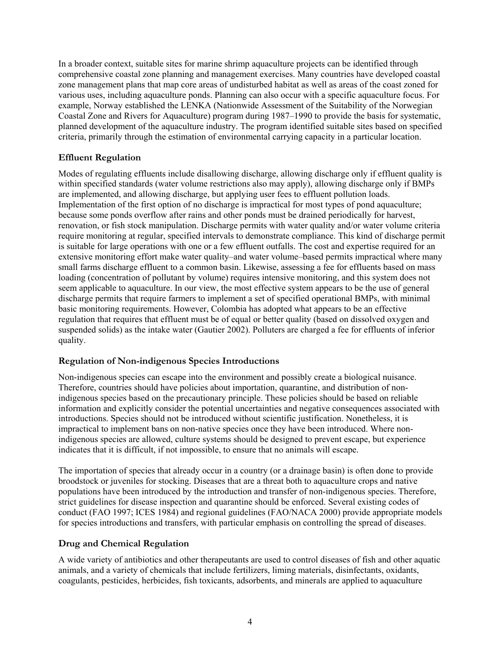<span id="page-10-0"></span>In a broader context, suitable sites for marine shrimp aquaculture projects can be identified through comprehensive coastal zone planning and management exercises. Many countries have developed coastal zone management plans that map core areas of undisturbed habitat as well as areas of the coast zoned for various uses, including aquaculture ponds. Planning can also occur with a specific aquaculture focus. For example, Norway established the LENKA (Nationwide Assessment of the Suitability of the Norwegian Coastal Zone and Rivers for Aquaculture) program during 1987–1990 to provide the basis for systematic, planned development of the aquaculture industry. The program identified suitable sites based on specified criteria, primarily through the estimation of environmental carrying capacity in a particular location.

#### **Effluent Regulation**

Modes of regulating effluents include disallowing discharge, allowing discharge only if effluent quality is within specified standards (water volume restrictions also may apply), allowing discharge only if BMPs are implemented, and allowing discharge, but applying user fees to effluent pollution loads. Implementation of the first option of no discharge is impractical for most types of pond aquaculture; because some ponds overflow after rains and other ponds must be drained periodically for harvest, renovation, or fish stock manipulation. Discharge permits with water quality and/or water volume criteria require monitoring at regular, specified intervals to demonstrate compliance. This kind of discharge permit is suitable for large operations with one or a few effluent outfalls. The cost and expertise required for an extensive monitoring effort make water quality–and water volume–based permits impractical where many small farms discharge effluent to a common basin. Likewise, assessing a fee for effluents based on mass loading (concentration of pollutant by volume) requires intensive monitoring, and this system does not seem applicable to aquaculture. In our view, the most effective system appears to be the use of general discharge permits that require farmers to implement a set of specified operational BMPs, with minimal basic monitoring requirements. However, Colombia has adopted what appears to be an effective regulation that requires that effluent must be of equal or better quality (based on dissolved oxygen and suspended solids) as the intake water (Gautier 2002). Polluters are charged a fee for effluents of inferior quality.

#### **Regulation of Non-indigenous Species Introductions**

Non-indigenous species can escape into the environment and possibly create a biological nuisance. Therefore, countries should have policies about importation, quarantine, and distribution of nonindigenous species based on the precautionary principle. These policies should be based on reliable information and explicitly consider the potential uncertainties and negative consequences associated with introductions. Species should not be introduced without scientific justification. Nonetheless, it is impractical to implement bans on non-native species once they have been introduced. Where nonindigenous species are allowed, culture systems should be designed to prevent escape, but experience indicates that it is difficult, if not impossible, to ensure that no animals will escape.

The importation of species that already occur in a country (or a drainage basin) is often done to provide broodstock or juveniles for stocking. Diseases that are a threat both to aquaculture crops and native populations have been introduced by the introduction and transfer of non-indigenous species. Therefore, strict guidelines for disease inspection and quarantine should be enforced. Several existing codes of conduct (FAO 1997; ICES 1984) and regional guidelines (FAO/NACA 2000) provide appropriate models for species introductions and transfers, with particular emphasis on controlling the spread of diseases.

#### **Drug and Chemical Regulation**

A wide variety of antibiotics and other therapeutants are used to control diseases of fish and other aquatic animals, and a variety of chemicals that include fertilizers, liming materials, disinfectants, oxidants, coagulants, pesticides, herbicides, fish toxicants, adsorbents, and minerals are applied to aquaculture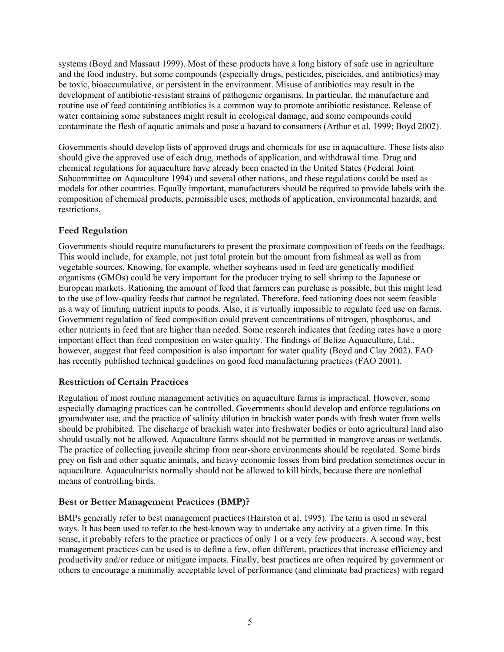<span id="page-11-0"></span>systems (Boyd and Massaut 1999). Most of these products have a long history of safe use in agriculture and the food industry, but some compounds (especially drugs, pesticides, piscicides, and antibiotics) may be toxic, bioaccumulative, or persistent in the environment. Misuse of antibiotics may result in the development of antibiotic-resistant strains of pathogenic organisms. In particular, the manufacture and routine use of feed containing antibiotics is a common way to promote antibiotic resistance. Release of water containing some substances might result in ecological damage, and some compounds could contaminate the flesh of aquatic animals and pose a hazard to consumers (Arthur et al. 1999; Boyd 2002).

Governments should develop lists of approved drugs and chemicals for use in aquaculture. These lists also should give the approved use of each drug, methods of application, and withdrawal time. Drug and chemical regulations for aquaculture have already been enacted in the United States (Federal Joint Subcommittee on Aquaculture 1994) and several other nations, and these regulations could be used as models for other countries. Equally important, manufacturers should be required to provide labels with the composition of chemical products, permissible uses, methods of application, environmental hazards, and restrictions.

#### **Feed Regulation**

Governments should require manufacturers to present the proximate composition of feeds on the feedbags. This would include, for example, not just total protein but the amount from fishmeal as well as from vegetable sources. Knowing, for example, whether soybeans used in feed are genetically modified organisms (GMOs) could be very important for the producer trying to sell shrimp to the Japanese or European markets. Rationing the amount of feed that farmers can purchase is possible, but this might lead to the use of low-quality feeds that cannot be regulated. Therefore, feed rationing does not seem feasible as a way of limiting nutrient inputs to ponds. Also, it is virtually impossible to regulate feed use on farms. Government regulation of feed composition could prevent concentrations of nitrogen, phosphorus, and other nutrients in feed that are higher than needed. Some research indicates that feeding rates have a more important effect than feed composition on water quality. The findings of Belize Aquaculture, Ltd., however, suggest that feed composition is also important for water quality (Boyd and Clay 2002). FAO has recently published technical guidelines on good feed manufacturing practices (FAO 2001).

#### **Restriction of Certain Practices**

Regulation of most routine management activities on aquaculture farms is impractical. However, some especially damaging practices can be controlled. Governments should develop and enforce regulations on groundwater use, and the practice of salinity dilution in brackish water ponds with fresh water from wells should be prohibited. The discharge of brackish water into freshwater bodies or onto agricultural land also should usually not be allowed. Aquaculture farms should not be permitted in mangrove areas or wetlands. The practice of collecting juvenile shrimp from near-shore environments should be regulated. Some birds prey on fish and other aquatic animals, and heavy economic losses from bird predation sometimes occur in aquaculture. Aquaculturists normally should not be allowed to kill birds, because there are nonlethal means of controlling birds.

## **Best or Better Management Practices (BMP)?**

BMPs generally refer to best management practices (Hairston et al. 1995). The term is used in several ways. It has been used to refer to the best-known way to undertake any activity at a given time. In this sense, it probably refers to the practice or practices of only 1 or a very few producers. A second way, best management practices can be used is to define a few, often different, practices that increase efficiency and productivity and/or reduce or mitigate impacts. Finally, best practices are often required by government or others to encourage a minimally acceptable level of performance (and eliminate bad practices) with regard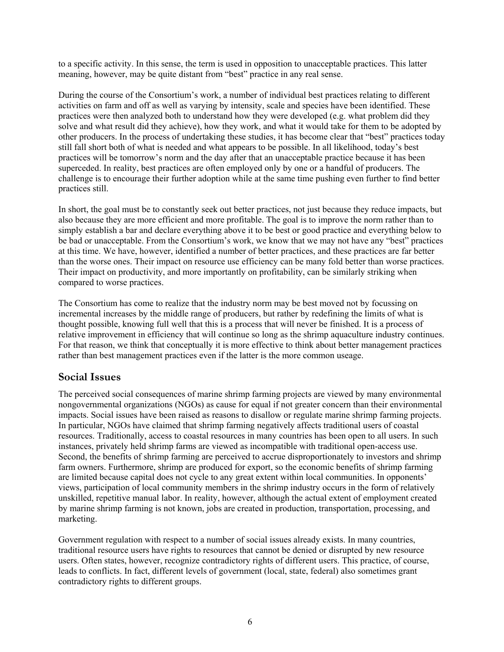<span id="page-12-0"></span>to a specific activity. In this sense, the term is used in opposition to unacceptable practices. This latter meaning, however, may be quite distant from "best" practice in any real sense.

During the course of the Consortium's work, a number of individual best practices relating to different activities on farm and off as well as varying by intensity, scale and species have been identified. These practices were then analyzed both to understand how they were developed (e.g. what problem did they solve and what result did they achieve), how they work, and what it would take for them to be adopted by other producers. In the process of undertaking these studies, it has become clear that "best" practices today still fall short both of what is needed and what appears to be possible. In all likelihood, today's best practices will be tomorrow's norm and the day after that an unacceptable practice because it has been superceded. In reality, best practices are often employed only by one or a handful of producers. The challenge is to encourage their further adoption while at the same time pushing even further to find better practices still.

In short, the goal must be to constantly seek out better practices, not just because they reduce impacts, but also because they are more efficient and more profitable. The goal is to improve the norm rather than to simply establish a bar and declare everything above it to be best or good practice and everything below to be bad or unacceptable. From the Consortium's work, we know that we may not have any "best" practices at this time. We have, however, identified a number of better practices, and these practices are far better than the worse ones. Their impact on resource use efficiency can be many fold better than worse practices. Their impact on productivity, and more importantly on profitability, can be similarly striking when compared to worse practices.

The Consortium has come to realize that the industry norm may be best moved not by focussing on incremental increases by the middle range of producers, but rather by redefining the limits of what is thought possible, knowing full well that this is a process that will never be finished. It is a process of relative improvement in efficiency that will continue so long as the shrimp aquaculture industry continues. For that reason, we think that conceptually it is more effective to think about better management practices rather than best management practices even if the latter is the more common useage.

## **Social Issues**

The perceived social consequences of marine shrimp farming projects are viewed by many environmental nongovernmental organizations (NGOs) as cause for equal if not greater concern than their environmental impacts. Social issues have been raised as reasons to disallow or regulate marine shrimp farming projects. In particular, NGOs have claimed that shrimp farming negatively affects traditional users of coastal resources. Traditionally, access to coastal resources in many countries has been open to all users. In such instances, privately held shrimp farms are viewed as incompatible with traditional open-access use. Second, the benefits of shrimp farming are perceived to accrue disproportionately to investors and shrimp farm owners. Furthermore, shrimp are produced for export, so the economic benefits of shrimp farming are limited because capital does not cycle to any great extent within local communities. In opponents' views, participation of local community members in the shrimp industry occurs in the form of relatively unskilled, repetitive manual labor. In reality, however, although the actual extent of employment created by marine shrimp farming is not known, jobs are created in production, transportation, processing, and marketing.

Government regulation with respect to a number of social issues already exists. In many countries, traditional resource users have rights to resources that cannot be denied or disrupted by new resource users. Often states, however, recognize contradictory rights of different users. This practice, of course, leads to conflicts. In fact, different levels of government (local, state, federal) also sometimes grant contradictory rights to different groups.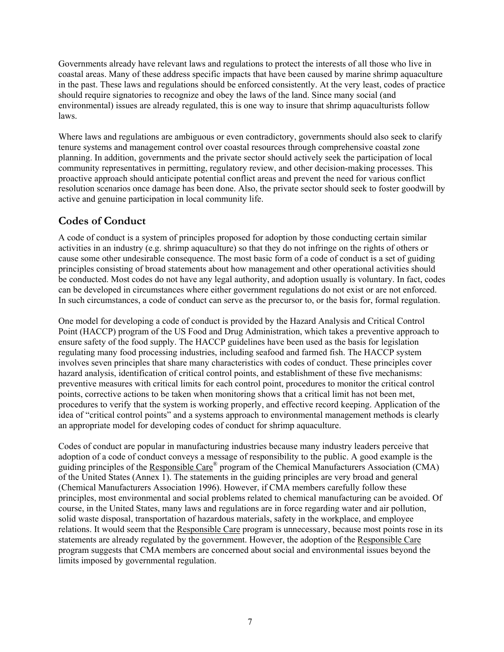<span id="page-13-0"></span>Governments already have relevant laws and regulations to protect the interests of all those who live in coastal areas. Many of these address specific impacts that have been caused by marine shrimp aquaculture in the past. These laws and regulations should be enforced consistently. At the very least, codes of practice should require signatories to recognize and obey the laws of the land. Since many social (and environmental) issues are already regulated, this is one way to insure that shrimp aquaculturists follow laws.

Where laws and regulations are ambiguous or even contradictory, governments should also seek to clarify tenure systems and management control over coastal resources through comprehensive coastal zone planning. In addition, governments and the private sector should actively seek the participation of local community representatives in permitting, regulatory review, and other decision-making processes. This proactive approach should anticipate potential conflict areas and prevent the need for various conflict resolution scenarios once damage has been done. Also, the private sector should seek to foster goodwill by active and genuine participation in local community life.

## **Codes of Conduct**

A code of conduct is a system of principles proposed for adoption by those conducting certain similar activities in an industry (e.g. shrimp aquaculture) so that they do not infringe on the rights of others or cause some other undesirable consequence. The most basic form of a code of conduct is a set of guiding principles consisting of broad statements about how management and other operational activities should be conducted. Most codes do not have any legal authority, and adoption usually is voluntary. In fact, codes can be developed in circumstances where either government regulations do not exist or are not enforced. In such circumstances, a code of conduct can serve as the precursor to, or the basis for, formal regulation.

One model for developing a code of conduct is provided by the Hazard Analysis and Critical Control Point (HACCP) program of the US Food and Drug Administration, which takes a preventive approach to ensure safety of the food supply. The HACCP guidelines have been used as the basis for legislation regulating many food processing industries, including seafood and farmed fish. The HACCP system involves seven principles that share many characteristics with codes of conduct. These principles cover hazard analysis, identification of critical control points, and establishment of these five mechanisms: preventive measures with critical limits for each control point, procedures to monitor the critical control points, corrective actions to be taken when monitoring shows that a critical limit has not been met, procedures to verify that the system is working properly, and effective record keeping. Application of the idea of "critical control points" and a systems approach to environmental management methods is clearly an appropriate model for developing codes of conduct for shrimp aquaculture.

Codes of conduct are popular in manufacturing industries because many industry leaders perceive that adoption of a code of conduct conveys a message of responsibility to the public. A good example is the guiding principles of the Responsible Care<sup>®</sup> program of the Chemical Manufacturers Association (CMA) of the United States (Annex 1). The statements in the guiding principles are very broad and general (Chemical Manufacturers Association 1996). However, if CMA members carefully follow these principles, most environmental and social problems related to chemical manufacturing can be avoided. Of course, in the United States, many laws and regulations are in force regarding water and air pollution, solid waste disposal, transportation of hazardous materials, safety in the workplace, and employee relations. It would seem that the Responsible Care program is unnecessary, because most points rose in its statements are already regulated by the government. However, the adoption of the Responsible Care program suggests that CMA members are concerned about social and environmental issues beyond the limits imposed by governmental regulation.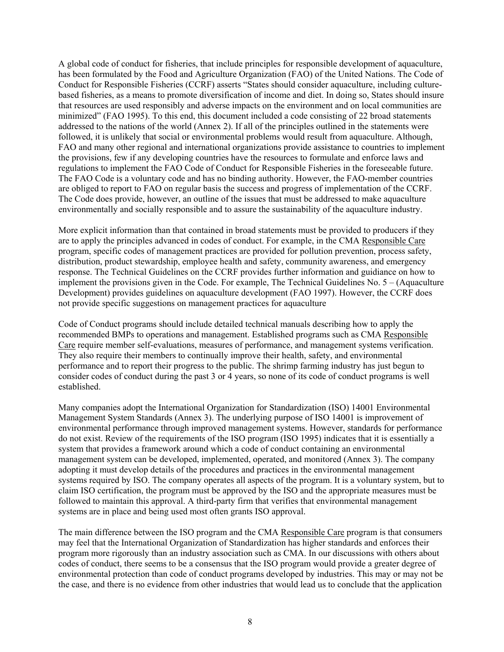A global code of conduct for fisheries, that include principles for responsible development of aquaculture, has been formulated by the Food and Agriculture Organization (FAO) of the United Nations. The Code of Conduct for Responsible Fisheries (CCRF) asserts "States should consider aquaculture, including culturebased fisheries, as a means to promote diversification of income and diet. In doing so, States should insure that resources are used responsibly and adverse impacts on the environment and on local communities are minimized" (FAO 1995). To this end, this document included a code consisting of 22 broad statements addressed to the nations of the world (Annex 2). If all of the principles outlined in the statements were followed, it is unlikely that social or environmental problems would result from aquaculture. Although, FAO and many other regional and international organizations provide assistance to countries to implement the provisions, few if any developing countries have the resources to formulate and enforce laws and regulations to implement the FAO Code of Conduct for Responsible Fisheries in the foreseeable future. The FAO Code is a voluntary code and has no binding authority. However, the FAO-member countries are obliged to report to FAO on regular basis the success and progress of implementation of the CCRF. The Code does provide, however, an outline of the issues that must be addressed to make aquaculture environmentally and socially responsible and to assure the sustainability of the aquaculture industry.

More explicit information than that contained in broad statements must be provided to producers if they are to apply the principles advanced in codes of conduct. For example, in the CMA Responsible Care program, specific codes of management practices are provided for pollution prevention, process safety, distribution, product stewardship, employee health and safety, community awareness, and emergency response. The Technical Guidelines on the CCRF provides further information and guidiance on how to implement the provisions given in the Code. For example, The Technical Guidelines No. 5 – (Aquaculture Development) provides guidelines on aquaculture development (FAO 1997). However, the CCRF does not provide specific suggestions on management practices for aquaculture

Code of Conduct programs should include detailed technical manuals describing how to apply the recommended BMPs to operations and management. Established programs such as CMA Responsible Care require member self-evaluations, measures of performance, and management systems verification. They also require their members to continually improve their health, safety, and environmental performance and to report their progress to the public. The shrimp farming industry has just begun to consider codes of conduct during the past 3 or 4 years, so none of its code of conduct programs is well established.

Many companies adopt the International Organization for Standardization (ISO) 14001 Environmental Management System Standards (Annex 3). The underlying purpose of ISO 14001 is improvement of environmental performance through improved management systems. However, standards for performance do not exist. Review of the requirements of the ISO program (ISO 1995) indicates that it is essentially a system that provides a framework around which a code of conduct containing an environmental management system can be developed, implemented, operated, and monitored (Annex 3). The company adopting it must develop details of the procedures and practices in the environmental management systems required by ISO. The company operates all aspects of the program. It is a voluntary system, but to claim ISO certification, the program must be approved by the ISO and the appropriate measures must be followed to maintain this approval. A third-party firm that verifies that environmental management systems are in place and being used most often grants ISO approval.

The main difference between the ISO program and the CMA Responsible Care program is that consumers may feel that the International Organization of Standardization has higher standards and enforces their program more rigorously than an industry association such as CMA. In our discussions with others about codes of conduct, there seems to be a consensus that the ISO program would provide a greater degree of environmental protection than code of conduct programs developed by industries. This may or may not be the case, and there is no evidence from other industries that would lead us to conclude that the application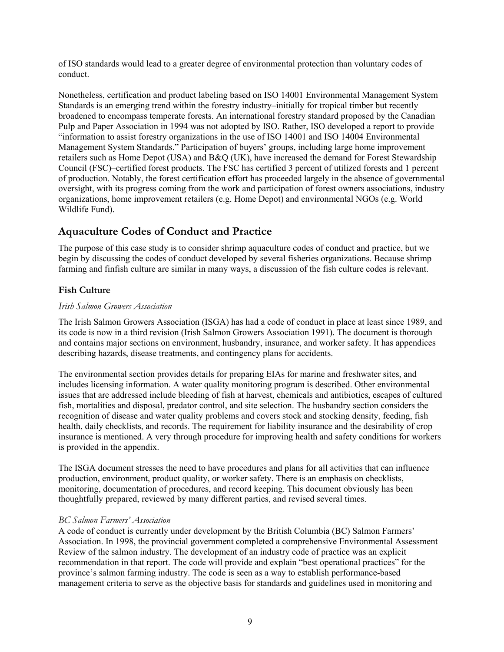<span id="page-15-0"></span>of ISO standards would lead to a greater degree of environmental protection than voluntary codes of conduct.

Nonetheless, certification and product labeling based on ISO 14001 Environmental Management System Standards is an emerging trend within the forestry industry–initially for tropical timber but recently broadened to encompass temperate forests. An international forestry standard proposed by the Canadian Pulp and Paper Association in 1994 was not adopted by ISO. Rather, ISO developed a report to provide "information to assist forestry organizations in the use of ISO 14001 and ISO 14004 Environmental Management System Standards." Participation of buyers' groups, including large home improvement retailers such as Home Depot (USA) and B&Q (UK), have increased the demand for Forest Stewardship Council (FSC)–certified forest products. The FSC has certified 3 percent of utilized forests and 1 percent of production. Notably, the forest certification effort has proceeded largely in the absence of governmental oversight, with its progress coming from the work and participation of forest owners associations, industry organizations, home improvement retailers (e.g. Home Depot) and environmental NGOs (e.g. World Wildlife Fund).

## **Aquaculture Codes of Conduct and Practice**

The purpose of this case study is to consider shrimp aquaculture codes of conduct and practice, but we begin by discussing the codes of conduct developed by several fisheries organizations. Because shrimp farming and finfish culture are similar in many ways, a discussion of the fish culture codes is relevant.

## **Fish Culture**

#### *Irish Salmon Growers Association*

The Irish Salmon Growers Association (ISGA) has had a code of conduct in place at least since 1989, and its code is now in a third revision (Irish Salmon Growers Association 1991). The document is thorough and contains major sections on environment, husbandry, insurance, and worker safety. It has appendices describing hazards, disease treatments, and contingency plans for accidents.

The environmental section provides details for preparing EIAs for marine and freshwater sites, and includes licensing information. A water quality monitoring program is described. Other environmental issues that are addressed include bleeding of fish at harvest, chemicals and antibiotics, escapes of cultured fish, mortalities and disposal, predator control, and site selection. The husbandry section considers the recognition of disease and water quality problems and covers stock and stocking density, feeding, fish health, daily checklists, and records. The requirement for liability insurance and the desirability of crop insurance is mentioned. A very through procedure for improving health and safety conditions for workers is provided in the appendix.

The ISGA document stresses the need to have procedures and plans for all activities that can influence production, environment, product quality, or worker safety. There is an emphasis on checklists, monitoring, documentation of procedures, and record keeping. This document obviously has been thoughtfully prepared, reviewed by many different parties, and revised several times.

#### *BC Salmon Farmers' Association*

A code of conduct is currently under development by the British Columbia (BC) Salmon Farmers' Association. In 1998, the provincial government completed a comprehensive Environmental Assessment Review of the salmon industry. The development of an industry code of practice was an explicit recommendation in that report. The code will provide and explain "best operational practices" for the province's salmon farming industry. The code is seen as a way to establish performance-based management criteria to serve as the objective basis for standards and guidelines used in monitoring and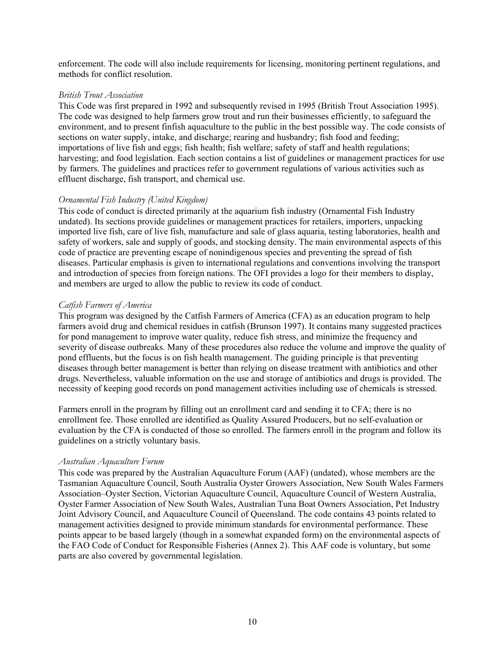enforcement. The code will also include requirements for licensing, monitoring pertinent regulations, and methods for conflict resolution.

#### *British Trout Association*

This Code was first prepared in 1992 and subsequently revised in 1995 (British Trout Association 1995). The code was designed to help farmers grow trout and run their businesses efficiently, to safeguard the environment, and to present finfish aquaculture to the public in the best possible way. The code consists of sections on water supply, intake, and discharge; rearing and husbandry; fish food and feeding; importations of live fish and eggs; fish health; fish welfare; safety of staff and health regulations; harvesting; and food legislation. Each section contains a list of guidelines or management practices for use by farmers. The guidelines and practices refer to government regulations of various activities such as effluent discharge, fish transport, and chemical use.

#### *Ornamental Fish Industry (United Kingdom)*

This code of conduct is directed primarily at the aquarium fish industry (Ornamental Fish Industry undated). Its sections provide guidelines or management practices for retailers, importers, unpacking imported live fish, care of live fish, manufacture and sale of glass aquaria, testing laboratories, health and safety of workers, sale and supply of goods, and stocking density. The main environmental aspects of this code of practice are preventing escape of nonindigenous species and preventing the spread of fish diseases. Particular emphasis is given to international regulations and conventions involving the transport and introduction of species from foreign nations. The OFI provides a logo for their members to display, and members are urged to allow the public to review its code of conduct.

#### *Catfish Farmers of America*

This program was designed by the Catfish Farmers of America (CFA) as an education program to help farmers avoid drug and chemical residues in catfish (Brunson 1997). It contains many suggested practices for pond management to improve water quality, reduce fish stress, and minimize the frequency and severity of disease outbreaks. Many of these procedures also reduce the volume and improve the quality of pond effluents, but the focus is on fish health management. The guiding principle is that preventing diseases through better management is better than relying on disease treatment with antibiotics and other drugs. Nevertheless, valuable information on the use and storage of antibiotics and drugs is provided. The necessity of keeping good records on pond management activities including use of chemicals is stressed.

Farmers enroll in the program by filling out an enrollment card and sending it to CFA; there is no enrollment fee. Those enrolled are identified as Quality Assured Producers, but no self-evaluation or evaluation by the CFA is conducted of those so enrolled. The farmers enroll in the program and follow its guidelines on a strictly voluntary basis.

#### *Australian Aquaculture Forum*

This code was prepared by the Australian Aquaculture Forum (AAF) (undated), whose members are the Tasmanian Aquaculture Council, South Australia Oyster Growers Association, New South Wales Farmers Association–Oyster Section, Victorian Aquaculture Council, Aquaculture Council of Western Australia, Oyster Farmer Association of New South Wales, Australian Tuna Boat Owners Association, Pet Industry Joint Advisory Council, and Aquaculture Council of Queensland. The code contains 43 points related to management activities designed to provide minimum standards for environmental performance. These points appear to be based largely (though in a somewhat expanded form) on the environmental aspects of the FAO Code of Conduct for Responsible Fisheries (Annex 2). This AAF code is voluntary, but some parts are also covered by governmental legislation.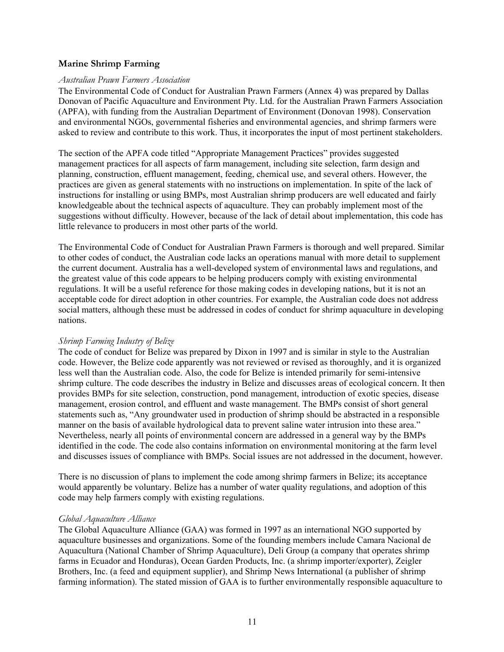#### <span id="page-17-0"></span>**Marine Shrimp Farming**

#### *Australian Prawn Farmers Association*

The Environmental Code of Conduct for Australian Prawn Farmers (Annex 4) was prepared by Dallas Donovan of Pacific Aquaculture and Environment Pty. Ltd. for the Australian Prawn Farmers Association (APFA), with funding from the Australian Department of Environment (Donovan 1998). Conservation and environmental NGOs, governmental fisheries and environmental agencies, and shrimp farmers were asked to review and contribute to this work. Thus, it incorporates the input of most pertinent stakeholders.

The section of the APFA code titled "Appropriate Management Practices" provides suggested management practices for all aspects of farm management, including site selection, farm design and planning, construction, effluent management, feeding, chemical use, and several others. However, the practices are given as general statements with no instructions on implementation. In spite of the lack of instructions for installing or using BMPs, most Australian shrimp producers are well educated and fairly knowledgeable about the technical aspects of aquaculture. They can probably implement most of the suggestions without difficulty. However, because of the lack of detail about implementation, this code has little relevance to producers in most other parts of the world.

The Environmental Code of Conduct for Australian Prawn Farmers is thorough and well prepared. Similar to other codes of conduct, the Australian code lacks an operations manual with more detail to supplement the current document. Australia has a well-developed system of environmental laws and regulations, and the greatest value of this code appears to be helping producers comply with existing environmental regulations. It will be a useful reference for those making codes in developing nations, but it is not an acceptable code for direct adoption in other countries. For example, the Australian code does not address social matters, although these must be addressed in codes of conduct for shrimp aquaculture in developing nations.

#### *Shrimp Farming Industry of Belize*

The code of conduct for Belize was prepared by Dixon in 1997 and is similar in style to the Australian code. However, the Belize code apparently was not reviewed or revised as thoroughly, and it is organized less well than the Australian code. Also, the code for Belize is intended primarily for semi-intensive shrimp culture. The code describes the industry in Belize and discusses areas of ecological concern. It then provides BMPs for site selection, construction, pond management, introduction of exotic species, disease management, erosion control, and effluent and waste management. The BMPs consist of short general statements such as, "Any groundwater used in production of shrimp should be abstracted in a responsible manner on the basis of available hydrological data to prevent saline water intrusion into these area." Nevertheless, nearly all points of environmental concern are addressed in a general way by the BMPs identified in the code. The code also contains information on environmental monitoring at the farm level and discusses issues of compliance with BMPs. Social issues are not addressed in the document, however.

There is no discussion of plans to implement the code among shrimp farmers in Belize; its acceptance would apparently be voluntary. Belize has a number of water quality regulations, and adoption of this code may help farmers comply with existing regulations.

#### *Global Aquaculture Alliance*

The Global Aquaculture Alliance (GAA) was formed in 1997 as an international NGO supported by aquaculture businesses and organizations. Some of the founding members include Camara Nacional de Aquacultura (National Chamber of Shrimp Aquaculture), Deli Group (a company that operates shrimp farms in Ecuador and Honduras), Ocean Garden Products, Inc. (a shrimp importer/exporter), Zeigler Brothers, Inc. (a feed and equipment supplier), and Shrimp News International (a publisher of shrimp farming information). The stated mission of GAA is to further environmentally responsible aquaculture to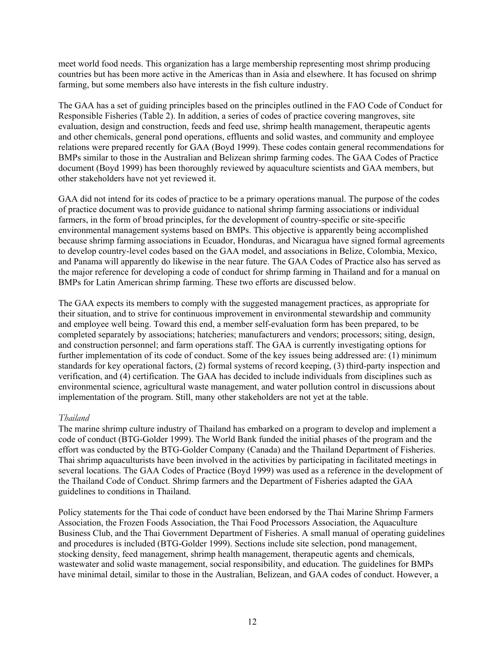meet world food needs. This organization has a large membership representing most shrimp producing countries but has been more active in the Americas than in Asia and elsewhere. It has focused on shrimp farming, but some members also have interests in the fish culture industry.

The GAA has a set of guiding principles based on the principles outlined in the FAO Code of Conduct for Responsible Fisheries (Table 2). In addition, a series of codes of practice covering mangroves, site evaluation, design and construction, feeds and feed use, shrimp health management, therapeutic agents and other chemicals, general pond operations, effluents and solid wastes, and community and employee relations were prepared recently for GAA (Boyd 1999). These codes contain general recommendations for BMPs similar to those in the Australian and Belizean shrimp farming codes. The GAA Codes of Practice document (Boyd 1999) has been thoroughly reviewed by aquaculture scientists and GAA members, but other stakeholders have not yet reviewed it.

GAA did not intend for its codes of practice to be a primary operations manual. The purpose of the codes of practice document was to provide guidance to national shrimp farming associations or individual farmers, in the form of broad principles, for the development of country-specific or site-specific environmental management systems based on BMPs. This objective is apparently being accomplished because shrimp farming associations in Ecuador, Honduras, and Nicaragua have signed formal agreements to develop country-level codes based on the GAA model, and associations in Belize, Colombia, Mexico, and Panama will apparently do likewise in the near future. The GAA Codes of Practice also has served as the major reference for developing a code of conduct for shrimp farming in Thailand and for a manual on BMPs for Latin American shrimp farming. These two efforts are discussed below.

The GAA expects its members to comply with the suggested management practices, as appropriate for their situation, and to strive for continuous improvement in environmental stewardship and community and employee well being. Toward this end, a member self-evaluation form has been prepared, to be completed separately by associations; hatcheries; manufacturers and vendors; processors; siting, design, and construction personnel; and farm operations staff. The GAA is currently investigating options for further implementation of its code of conduct. Some of the key issues being addressed are: (1) minimum standards for key operational factors, (2) formal systems of record keeping, (3) third-party inspection and verification, and (4) certification. The GAA has decided to include individuals from disciplines such as environmental science, agricultural waste management, and water pollution control in discussions about implementation of the program. Still, many other stakeholders are not yet at the table.

#### *Thailand*

The marine shrimp culture industry of Thailand has embarked on a program to develop and implement a code of conduct (BTG-Golder 1999). The World Bank funded the initial phases of the program and the effort was conducted by the BTG-Golder Company (Canada) and the Thailand Department of Fisheries. Thai shrimp aquaculturists have been involved in the activities by participating in facilitated meetings in several locations. The GAA Codes of Practice (Boyd 1999) was used as a reference in the development of the Thailand Code of Conduct. Shrimp farmers and the Department of Fisheries adapted the GAA guidelines to conditions in Thailand.

Policy statements for the Thai code of conduct have been endorsed by the Thai Marine Shrimp Farmers Association, the Frozen Foods Association, the Thai Food Processors Association, the Aquaculture Business Club, and the Thai Government Department of Fisheries. A small manual of operating guidelines and procedures is included (BTG-Golder 1999). Sections include site selection, pond management, stocking density, feed management, shrimp health management, therapeutic agents and chemicals, wastewater and solid waste management, social responsibility, and education. The guidelines for BMPs have minimal detail, similar to those in the Australian, Belizean, and GAA codes of conduct. However, a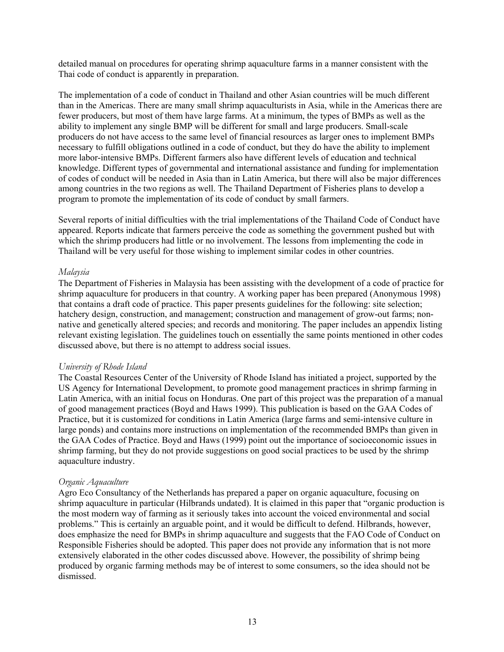detailed manual on procedures for operating shrimp aquaculture farms in a manner consistent with the Thai code of conduct is apparently in preparation.

The implementation of a code of conduct in Thailand and other Asian countries will be much different than in the Americas. There are many small shrimp aquaculturists in Asia, while in the Americas there are fewer producers, but most of them have large farms. At a minimum, the types of BMPs as well as the ability to implement any single BMP will be different for small and large producers. Small-scale producers do not have access to the same level of financial resources as larger ones to implement BMPs necessary to fulfill obligations outlined in a code of conduct, but they do have the ability to implement more labor-intensive BMPs. Different farmers also have different levels of education and technical knowledge. Different types of governmental and international assistance and funding for implementation of codes of conduct will be needed in Asia than in Latin America, but there will also be major differences among countries in the two regions as well. The Thailand Department of Fisheries plans to develop a program to promote the implementation of its code of conduct by small farmers.

Several reports of initial difficulties with the trial implementations of the Thailand Code of Conduct have appeared. Reports indicate that farmers perceive the code as something the government pushed but with which the shrimp producers had little or no involvement. The lessons from implementing the code in Thailand will be very useful for those wishing to implement similar codes in other countries.

#### *Malaysia*

The Department of Fisheries in Malaysia has been assisting with the development of a code of practice for shrimp aquaculture for producers in that country. A working paper has been prepared (Anonymous 1998) that contains a draft code of practice. This paper presents guidelines for the following: site selection; hatchery design, construction, and management; construction and management of grow-out farms; nonnative and genetically altered species; and records and monitoring. The paper includes an appendix listing relevant existing legislation. The guidelines touch on essentially the same points mentioned in other codes discussed above, but there is no attempt to address social issues.

#### *University of Rhode Island*

The Coastal Resources Center of the University of Rhode Island has initiated a project, supported by the US Agency for International Development, to promote good management practices in shrimp farming in Latin America, with an initial focus on Honduras. One part of this project was the preparation of a manual of good management practices (Boyd and Haws 1999). This publication is based on the GAA Codes of Practice, but it is customized for conditions in Latin America (large farms and semi-intensive culture in large ponds) and contains more instructions on implementation of the recommended BMPs than given in the GAA Codes of Practice. Boyd and Haws (1999) point out the importance of socioeconomic issues in shrimp farming, but they do not provide suggestions on good social practices to be used by the shrimp aquaculture industry.

#### *Organic Aquaculture*

Agro Eco Consultancy of the Netherlands has prepared a paper on organic aquaculture, focusing on shrimp aquaculture in particular (Hilbrands undated). It is claimed in this paper that "organic production is the most modern way of farming as it seriously takes into account the voiced environmental and social problems." This is certainly an arguable point, and it would be difficult to defend. Hilbrands, however, does emphasize the need for BMPs in shrimp aquaculture and suggests that the FAO Code of Conduct on Responsible Fisheries should be adopted. This paper does not provide any information that is not more extensively elaborated in the other codes discussed above. However, the possibility of shrimp being produced by organic farming methods may be of interest to some consumers, so the idea should not be dismissed.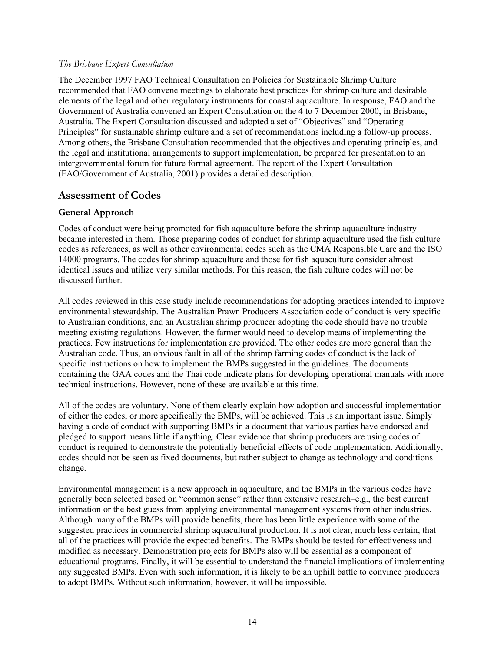#### <span id="page-20-0"></span>*The Brisbane Expert Consultation*

The December 1997 FAO Technical Consultation on Policies for Sustainable Shrimp Culture recommended that FAO convene meetings to elaborate best practices for shrimp culture and desirable elements of the legal and other regulatory instruments for coastal aquaculture. In response, FAO and the Government of Australia convened an Expert Consultation on the 4 to 7 December 2000, in Brisbane, Australia. The Expert Consultation discussed and adopted a set of "Objectives" and "Operating Principles" for sustainable shrimp culture and a set of recommendations including a follow-up process. Among others, the Brisbane Consultation recommended that the objectives and operating principles, and the legal and institutional arrangements to support implementation, be prepared for presentation to an intergovernmental forum for future formal agreement. The report of the Expert Consultation (FAO/Government of Australia, 2001) provides a detailed description.

#### **Assessment of Codes**

#### **General Approach**

Codes of conduct were being promoted for fish aquaculture before the shrimp aquaculture industry became interested in them. Those preparing codes of conduct for shrimp aquaculture used the fish culture codes as references, as well as other environmental codes such as the CMA Responsible Care and the ISO 14000 programs. The codes for shrimp aquaculture and those for fish aquaculture consider almost identical issues and utilize very similar methods. For this reason, the fish culture codes will not be discussed further.

All codes reviewed in this case study include recommendations for adopting practices intended to improve environmental stewardship. The Australian Prawn Producers Association code of conduct is very specific to Australian conditions, and an Australian shrimp producer adopting the code should have no trouble meeting existing regulations. However, the farmer would need to develop means of implementing the practices. Few instructions for implementation are provided. The other codes are more general than the Australian code. Thus, an obvious fault in all of the shrimp farming codes of conduct is the lack of specific instructions on how to implement the BMPs suggested in the guidelines. The documents containing the GAA codes and the Thai code indicate plans for developing operational manuals with more technical instructions. However, none of these are available at this time.

All of the codes are voluntary. None of them clearly explain how adoption and successful implementation of either the codes, or more specifically the BMPs, will be achieved. This is an important issue. Simply having a code of conduct with supporting BMPs in a document that various parties have endorsed and pledged to support means little if anything. Clear evidence that shrimp producers are using codes of conduct is required to demonstrate the potentially beneficial effects of code implementation. Additionally, codes should not be seen as fixed documents, but rather subject to change as technology and conditions change.

Environmental management is a new approach in aquaculture, and the BMPs in the various codes have generally been selected based on "common sense" rather than extensive research–e.g., the best current information or the best guess from applying environmental management systems from other industries. Although many of the BMPs will provide benefits, there has been little experience with some of the suggested practices in commercial shrimp aquacultural production. It is not clear, much less certain, that all of the practices will provide the expected benefits. The BMPs should be tested for effectiveness and modified as necessary. Demonstration projects for BMPs also will be essential as a component of educational programs. Finally, it will be essential to understand the financial implications of implementing any suggested BMPs. Even with such information, it is likely to be an uphill battle to convince producers to adopt BMPs. Without such information, however, it will be impossible.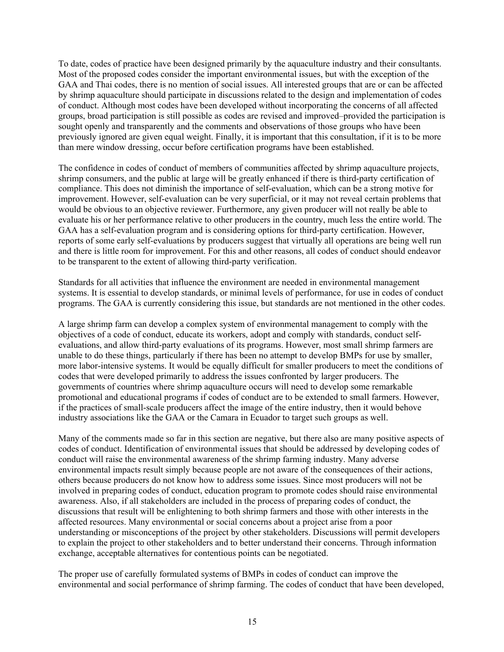To date, codes of practice have been designed primarily by the aquaculture industry and their consultants. Most of the proposed codes consider the important environmental issues, but with the exception of the GAA and Thai codes, there is no mention of social issues. All interested groups that are or can be affected by shrimp aquaculture should participate in discussions related to the design and implementation of codes of conduct. Although most codes have been developed without incorporating the concerns of all affected groups, broad participation is still possible as codes are revised and improved–provided the participation is sought openly and transparently and the comments and observations of those groups who have been previously ignored are given equal weight. Finally, it is important that this consultation, if it is to be more than mere window dressing, occur before certification programs have been established.

The confidence in codes of conduct of members of communities affected by shrimp aquaculture projects, shrimp consumers, and the public at large will be greatly enhanced if there is third-party certification of compliance. This does not diminish the importance of self-evaluation, which can be a strong motive for improvement. However, self-evaluation can be very superficial, or it may not reveal certain problems that would be obvious to an objective reviewer. Furthermore, any given producer will not really be able to evaluate his or her performance relative to other producers in the country, much less the entire world. The GAA has a self-evaluation program and is considering options for third-party certification. However, reports of some early self-evaluations by producers suggest that virtually all operations are being well run and there is little room for improvement. For this and other reasons, all codes of conduct should endeavor to be transparent to the extent of allowing third-party verification.

Standards for all activities that influence the environment are needed in environmental management systems. It is essential to develop standards, or minimal levels of performance, for use in codes of conduct programs. The GAA is currently considering this issue, but standards are not mentioned in the other codes.

A large shrimp farm can develop a complex system of environmental management to comply with the objectives of a code of conduct, educate its workers, adopt and comply with standards, conduct selfevaluations, and allow third-party evaluations of its programs. However, most small shrimp farmers are unable to do these things, particularly if there has been no attempt to develop BMPs for use by smaller, more labor-intensive systems. It would be equally difficult for smaller producers to meet the conditions of codes that were developed primarily to address the issues confronted by larger producers. The governments of countries where shrimp aquaculture occurs will need to develop some remarkable promotional and educational programs if codes of conduct are to be extended to small farmers. However, if the practices of small-scale producers affect the image of the entire industry, then it would behove industry associations like the GAA or the Camara in Ecuador to target such groups as well.

Many of the comments made so far in this section are negative, but there also are many positive aspects of codes of conduct. Identification of environmental issues that should be addressed by developing codes of conduct will raise the environmental awareness of the shrimp farming industry. Many adverse environmental impacts result simply because people are not aware of the consequences of their actions, others because producers do not know how to address some issues. Since most producers will not be involved in preparing codes of conduct, education program to promote codes should raise environmental awareness. Also, if all stakeholders are included in the process of preparing codes of conduct, the discussions that result will be enlightening to both shrimp farmers and those with other interests in the affected resources. Many environmental or social concerns about a project arise from a poor understanding or misconceptions of the project by other stakeholders. Discussions will permit developers to explain the project to other stakeholders and to better understand their concerns. Through information exchange, acceptable alternatives for contentious points can be negotiated.

The proper use of carefully formulated systems of BMPs in codes of conduct can improve the environmental and social performance of shrimp farming. The codes of conduct that have been developed,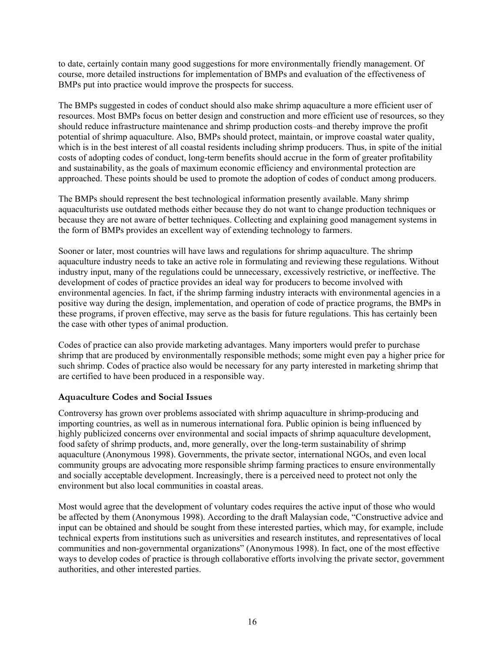<span id="page-22-0"></span>to date, certainly contain many good suggestions for more environmentally friendly management. Of course, more detailed instructions for implementation of BMPs and evaluation of the effectiveness of BMPs put into practice would improve the prospects for success.

The BMPs suggested in codes of conduct should also make shrimp aquaculture a more efficient user of resources. Most BMPs focus on better design and construction and more efficient use of resources, so they should reduce infrastructure maintenance and shrimp production costs–and thereby improve the profit potential of shrimp aquaculture. Also, BMPs should protect, maintain, or improve coastal water quality, which is in the best interest of all coastal residents including shrimp producers. Thus, in spite of the initial costs of adopting codes of conduct, long-term benefits should accrue in the form of greater profitability and sustainability, as the goals of maximum economic efficiency and environmental protection are approached. These points should be used to promote the adoption of codes of conduct among producers.

The BMPs should represent the best technological information presently available. Many shrimp aquaculturists use outdated methods either because they do not want to change production techniques or because they are not aware of better techniques. Collecting and explaining good management systems in the form of BMPs provides an excellent way of extending technology to farmers.

Sooner or later, most countries will have laws and regulations for shrimp aquaculture. The shrimp aquaculture industry needs to take an active role in formulating and reviewing these regulations. Without industry input, many of the regulations could be unnecessary, excessively restrictive, or ineffective. The development of codes of practice provides an ideal way for producers to become involved with environmental agencies. In fact, if the shrimp farming industry interacts with environmental agencies in a positive way during the design, implementation, and operation of code of practice programs, the BMPs in these programs, if proven effective, may serve as the basis for future regulations. This has certainly been the case with other types of animal production.

Codes of practice can also provide marketing advantages. Many importers would prefer to purchase shrimp that are produced by environmentally responsible methods; some might even pay a higher price for such shrimp. Codes of practice also would be necessary for any party interested in marketing shrimp that are certified to have been produced in a responsible way.

#### **Aquaculture Codes and Social Issues**

Controversy has grown over problems associated with shrimp aquaculture in shrimp-producing and importing countries, as well as in numerous international fora. Public opinion is being influenced by highly publicized concerns over environmental and social impacts of shrimp aquaculture development, food safety of shrimp products, and, more generally, over the long-term sustainability of shrimp aquaculture (Anonymous 1998). Governments, the private sector, international NGOs, and even local community groups are advocating more responsible shrimp farming practices to ensure environmentally and socially acceptable development. Increasingly, there is a perceived need to protect not only the environment but also local communities in coastal areas.

Most would agree that the development of voluntary codes requires the active input of those who would be affected by them (Anonymous 1998). According to the draft Malaysian code, "Constructive advice and input can be obtained and should be sought from these interested parties, which may, for example, include technical experts from institutions such as universities and research institutes, and representatives of local communities and non-governmental organizations" (Anonymous 1998). In fact, one of the most effective ways to develop codes of practice is through collaborative efforts involving the private sector, government authorities, and other interested parties.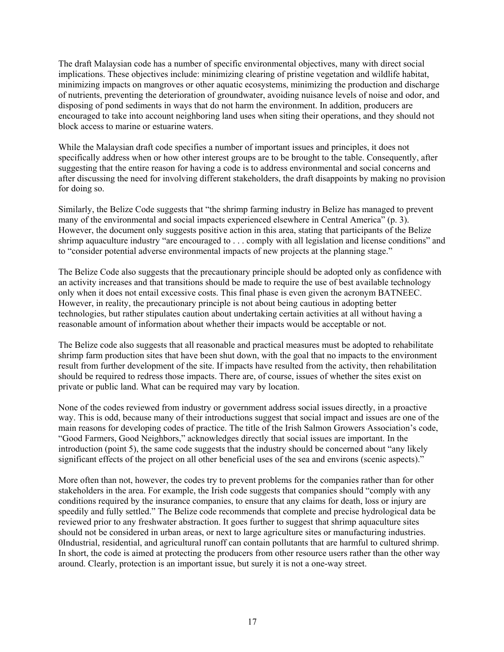The draft Malaysian code has a number of specific environmental objectives, many with direct social implications. These objectives include: minimizing clearing of pristine vegetation and wildlife habitat, minimizing impacts on mangroves or other aquatic ecosystems, minimizing the production and discharge of nutrients, preventing the deterioration of groundwater, avoiding nuisance levels of noise and odor, and disposing of pond sediments in ways that do not harm the environment. In addition, producers are encouraged to take into account neighboring land uses when siting their operations, and they should not block access to marine or estuarine waters.

While the Malaysian draft code specifies a number of important issues and principles, it does not specifically address when or how other interest groups are to be brought to the table. Consequently, after suggesting that the entire reason for having a code is to address environmental and social concerns and after discussing the need for involving different stakeholders, the draft disappoints by making no provision for doing so.

Similarly, the Belize Code suggests that "the shrimp farming industry in Belize has managed to prevent many of the environmental and social impacts experienced elsewhere in Central America" (p. 3). However, the document only suggests positive action in this area, stating that participants of the Belize shrimp aquaculture industry "are encouraged to . . . comply with all legislation and license conditions" and to "consider potential adverse environmental impacts of new projects at the planning stage."

The Belize Code also suggests that the precautionary principle should be adopted only as confidence with an activity increases and that transitions should be made to require the use of best available technology only when it does not entail excessive costs. This final phase is even given the acronym BATNEEC. However, in reality, the precautionary principle is not about being cautious in adopting better technologies, but rather stipulates caution about undertaking certain activities at all without having a reasonable amount of information about whether their impacts would be acceptable or not.

The Belize code also suggests that all reasonable and practical measures must be adopted to rehabilitate shrimp farm production sites that have been shut down, with the goal that no impacts to the environment result from further development of the site. If impacts have resulted from the activity, then rehabilitation should be required to redress those impacts. There are, of course, issues of whether the sites exist on private or public land. What can be required may vary by location.

None of the codes reviewed from industry or government address social issues directly, in a proactive way. This is odd, because many of their introductions suggest that social impact and issues are one of the main reasons for developing codes of practice. The title of the Irish Salmon Growers Association's code, "Good Farmers, Good Neighbors," acknowledges directly that social issues are important. In the introduction (point 5), the same code suggests that the industry should be concerned about "any likely significant effects of the project on all other beneficial uses of the sea and environs (scenic aspects)."

More often than not, however, the codes try to prevent problems for the companies rather than for other stakeholders in the area. For example, the Irish code suggests that companies should "comply with any conditions required by the insurance companies, to ensure that any claims for death, loss or injury are speedily and fully settled." The Belize code recommends that complete and precise hydrological data be reviewed prior to any freshwater abstraction. It goes further to suggest that shrimp aquaculture sites should not be considered in urban areas, or next to large agriculture sites or manufacturing industries. 0Industrial, residential, and agricultural runoff can contain pollutants that are harmful to cultured shrimp. In short, the code is aimed at protecting the producers from other resource users rather than the other way around. Clearly, protection is an important issue, but surely it is not a one-way street.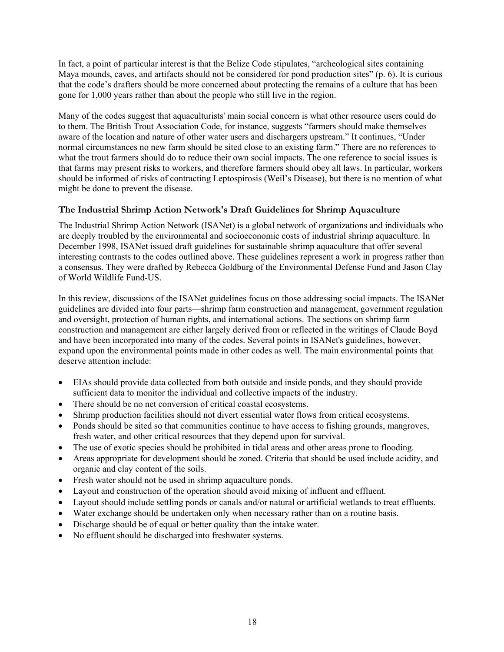<span id="page-24-0"></span>In fact, a point of particular interest is that the Belize Code stipulates, "archeological sites containing Maya mounds, caves, and artifacts should not be considered for pond production sites" (p. 6). It is curious that the code's drafters should be more concerned about protecting the remains of a culture that has been gone for 1,000 years rather than about the people who still live in the region.

Many of the codes suggest that aquaculturists' main social concern is what other resource users could do to them. The British Trout Association Code, for instance, suggests "farmers should make themselves aware of the location and nature of other water users and dischargers upstream." It continues, "Under normal circumstances no new farm should be sited close to an existing farm." There are no references to what the trout farmers should do to reduce their own social impacts. The one reference to social issues is that farms may present risks to workers, and therefore farmers should obey all laws. In particular, workers should be informed of risks of contracting Leptospirosis (Weil's Disease), but there is no mention of what might be done to prevent the disease.

#### **The Industrial Shrimp Action Network's Draft Guidelines for Shrimp Aquaculture**

The Industrial Shrimp Action Network (ISANet) is a global network of organizations and individuals who are deeply troubled by the environmental and socioeconomic costs of industrial shrimp aquaculture. In December 1998, ISANet issued draft guidelines for sustainable shrimp aquaculture that offer several interesting contrasts to the codes outlined above. These guidelines represent a work in progress rather than a consensus. They were drafted by Rebecca Goldburg of the Environmental Defense Fund and Jason Clay of World Wildlife Fund-US.

In this review, discussions of the ISANet guidelines focus on those addressing social impacts. The ISANet guidelines are divided into four parts—shrimp farm construction and management, government regulation and oversight, protection of human rights, and international actions. The sections on shrimp farm construction and management are either largely derived from or reflected in the writings of Claude Boyd and have been incorporated into many of the codes. Several points in ISANet's guidelines, however, expand upon the environmental points made in other codes as well. The main environmental points that deserve attention include:

- EIAs should provide data collected from both outside and inside ponds, and they should provide sufficient data to monitor the individual and collective impacts of the industry.
- There should be no net conversion of critical coastal ecosystems.
- Shrimp production facilities should not divert essential water flows from critical ecosystems.
- Ponds should be sited so that communities continue to have access to fishing grounds, mangroves, fresh water, and other critical resources that they depend upon for survival.
- The use of exotic species should be prohibited in tidal areas and other areas prone to flooding.
- Areas appropriate for development should be zoned. Criteria that should be used include acidity, and organic and clay content of the soils.
- Fresh water should not be used in shrimp aquaculture ponds.
- Layout and construction of the operation should avoid mixing of influent and effluent.
- Layout should include settling ponds or canals and/or natural or artificial wetlands to treat effluents.
- Water exchange should be undertaken only when necessary rather than on a routine basis.
- Discharge should be of equal or better quality than the intake water.
- No effluent should be discharged into freshwater systems.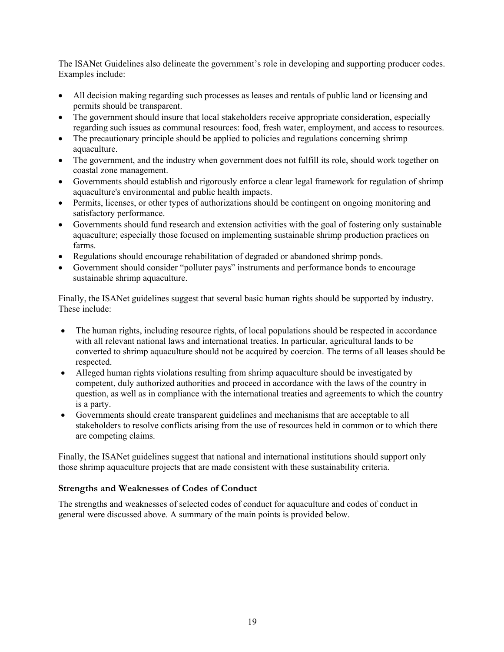<span id="page-25-0"></span>The ISANet Guidelines also delineate the government's role in developing and supporting producer codes. Examples include:

- All decision making regarding such processes as leases and rentals of public land or licensing and permits should be transparent.
- The government should insure that local stakeholders receive appropriate consideration, especially regarding such issues as communal resources: food, fresh water, employment, and access to resources.
- The precautionary principle should be applied to policies and regulations concerning shrimp aquaculture.
- The government, and the industry when government does not fulfill its role, should work together on coastal zone management.
- Governments should establish and rigorously enforce a clear legal framework for regulation of shrimp aquaculture's environmental and public health impacts.
- Permits, licenses, or other types of authorizations should be contingent on ongoing monitoring and satisfactory performance.
- Governments should fund research and extension activities with the goal of fostering only sustainable aquaculture; especially those focused on implementing sustainable shrimp production practices on farms.
- Regulations should encourage rehabilitation of degraded or abandoned shrimp ponds.
- Government should consider "polluter pays" instruments and performance bonds to encourage sustainable shrimp aquaculture.

Finally, the ISANet guidelines suggest that several basic human rights should be supported by industry. These include:

- The human rights, including resource rights, of local populations should be respected in accordance with all relevant national laws and international treaties. In particular, agricultural lands to be converted to shrimp aquaculture should not be acquired by coercion. The terms of all leases should be respected.
- Alleged human rights violations resulting from shrimp aquaculture should be investigated by competent, duly authorized authorities and proceed in accordance with the laws of the country in question, as well as in compliance with the international treaties and agreements to which the country is a party.
- Governments should create transparent guidelines and mechanisms that are acceptable to all stakeholders to resolve conflicts arising from the use of resources held in common or to which there are competing claims.

Finally, the ISANet guidelines suggest that national and international institutions should support only those shrimp aquaculture projects that are made consistent with these sustainability criteria.

#### **Strengths and Weaknesses of Codes of Conduct**

The strengths and weaknesses of selected codes of conduct for aquaculture and codes of conduct in general were discussed above. A summary of the main points is provided below.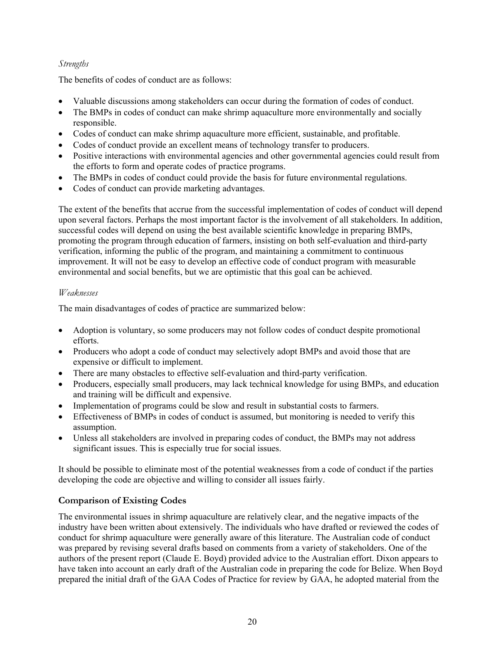#### <span id="page-26-0"></span>*Strengths*

The benefits of codes of conduct are as follows:

- Valuable discussions among stakeholders can occur during the formation of codes of conduct.
- The BMPs in codes of conduct can make shrimp aquaculture more environmentally and socially responsible.
- Codes of conduct can make shrimp aquaculture more efficient, sustainable, and profitable.
- Codes of conduct provide an excellent means of technology transfer to producers.
- Positive interactions with environmental agencies and other governmental agencies could result from the efforts to form and operate codes of practice programs.
- The BMPs in codes of conduct could provide the basis for future environmental regulations.
- Codes of conduct can provide marketing advantages.

The extent of the benefits that accrue from the successful implementation of codes of conduct will depend upon several factors. Perhaps the most important factor is the involvement of all stakeholders. In addition, successful codes will depend on using the best available scientific knowledge in preparing BMPs, promoting the program through education of farmers, insisting on both self-evaluation and third-party verification, informing the public of the program, and maintaining a commitment to continuous improvement. It will not be easy to develop an effective code of conduct program with measurable environmental and social benefits, but we are optimistic that this goal can be achieved.

#### *Weaknesses*

The main disadvantages of codes of practice are summarized below:

- Adoption is voluntary, so some producers may not follow codes of conduct despite promotional efforts.
- Producers who adopt a code of conduct may selectively adopt BMPs and avoid those that are expensive or difficult to implement.
- There are many obstacles to effective self-evaluation and third-party verification.
- Producers, especially small producers, may lack technical knowledge for using BMPs, and education and training will be difficult and expensive.
- Implementation of programs could be slow and result in substantial costs to farmers.
- Effectiveness of BMPs in codes of conduct is assumed, but monitoring is needed to verify this assumption.
- Unless all stakeholders are involved in preparing codes of conduct, the BMPs may not address significant issues. This is especially true for social issues.

It should be possible to eliminate most of the potential weaknesses from a code of conduct if the parties developing the code are objective and willing to consider all issues fairly.

## **Comparison of Existing Codes**

The environmental issues in shrimp aquaculture are relatively clear, and the negative impacts of the industry have been written about extensively. The individuals who have drafted or reviewed the codes of conduct for shrimp aquaculture were generally aware of this literature. The Australian code of conduct was prepared by revising several drafts based on comments from a variety of stakeholders. One of the authors of the present report (Claude E. Boyd) provided advice to the Australian effort. Dixon appears to have taken into account an early draft of the Australian code in preparing the code for Belize. When Boyd prepared the initial draft of the GAA Codes of Practice for review by GAA, he adopted material from the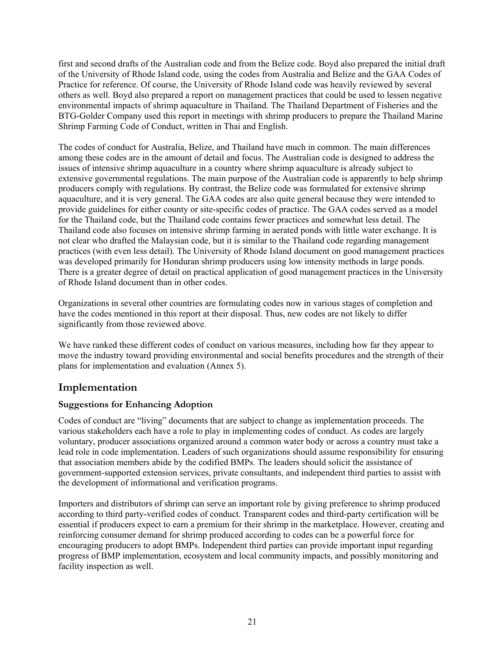<span id="page-27-0"></span>first and second drafts of the Australian code and from the Belize code. Boyd also prepared the initial draft of the University of Rhode Island code, using the codes from Australia and Belize and the GAA Codes of Practice for reference. Of course, the University of Rhode Island code was heavily reviewed by several others as well. Boyd also prepared a report on management practices that could be used to lessen negative environmental impacts of shrimp aquaculture in Thailand. The Thailand Department of Fisheries and the BTG-Golder Company used this report in meetings with shrimp producers to prepare the Thailand Marine Shrimp Farming Code of Conduct, written in Thai and English.

The codes of conduct for Australia, Belize, and Thailand have much in common. The main differences among these codes are in the amount of detail and focus. The Australian code is designed to address the issues of intensive shrimp aquaculture in a country where shrimp aquaculture is already subject to extensive governmental regulations. The main purpose of the Australian code is apparently to help shrimp producers comply with regulations. By contrast, the Belize code was formulated for extensive shrimp aquaculture, and it is very general. The GAA codes are also quite general because they were intended to provide guidelines for either county or site-specific codes of practice. The GAA codes served as a model for the Thailand code, but the Thailand code contains fewer practices and somewhat less detail. The Thailand code also focuses on intensive shrimp farming in aerated ponds with little water exchange. It is not clear who drafted the Malaysian code, but it is similar to the Thailand code regarding management practices (with even less detail). The University of Rhode Island document on good management practices was developed primarily for Honduran shrimp producers using low intensity methods in large ponds. There is a greater degree of detail on practical application of good management practices in the University of Rhode Island document than in other codes.

Organizations in several other countries are formulating codes now in various stages of completion and have the codes mentioned in this report at their disposal. Thus, new codes are not likely to differ significantly from those reviewed above.

We have ranked these different codes of conduct on various measures, including how far they appear to move the industry toward providing environmental and social benefits procedures and the strength of their plans for implementation and evaluation (Annex 5).

## **Implementation**

## **Suggestions for Enhancing Adoption**

Codes of conduct are "living" documents that are subject to change as implementation proceeds. The various stakeholders each have a role to play in implementing codes of conduct. As codes are largely voluntary, producer associations organized around a common water body or across a country must take a lead role in code implementation. Leaders of such organizations should assume responsibility for ensuring that association members abide by the codified BMPs. The leaders should solicit the assistance of government-supported extension services, private consultants, and independent third parties to assist with the development of informational and verification programs.

Importers and distributors of shrimp can serve an important role by giving preference to shrimp produced according to third party-verified codes of conduct. Transparent codes and third-party certification will be essential if producers expect to earn a premium for their shrimp in the marketplace. However, creating and reinforcing consumer demand for shrimp produced according to codes can be a powerful force for encouraging producers to adopt BMPs. Independent third parties can provide important input regarding progress of BMP implementation, ecosystem and local community impacts, and possibly monitoring and facility inspection as well.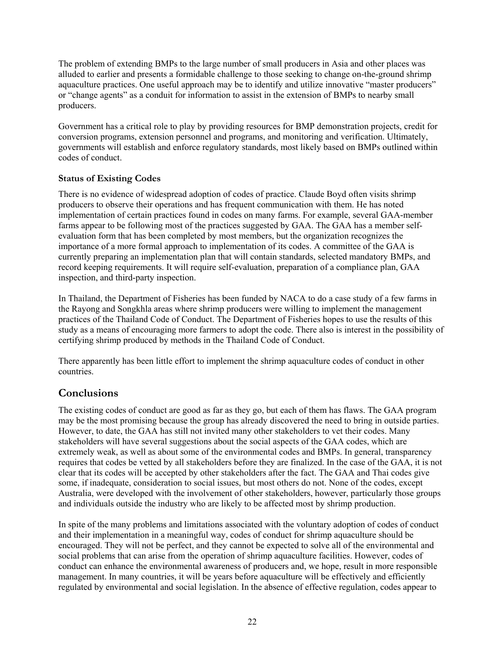<span id="page-28-0"></span>The problem of extending BMPs to the large number of small producers in Asia and other places was alluded to earlier and presents a formidable challenge to those seeking to change on-the-ground shrimp aquaculture practices. One useful approach may be to identify and utilize innovative "master producers" or "change agents" as a conduit for information to assist in the extension of BMPs to nearby small producers.

Government has a critical role to play by providing resources for BMP demonstration projects, credit for conversion programs, extension personnel and programs, and monitoring and verification. Ultimately, governments will establish and enforce regulatory standards, most likely based on BMPs outlined within codes of conduct.

#### **Status of Existing Codes**

There is no evidence of widespread adoption of codes of practice. Claude Boyd often visits shrimp producers to observe their operations and has frequent communication with them. He has noted implementation of certain practices found in codes on many farms. For example, several GAA-member farms appear to be following most of the practices suggested by GAA. The GAA has a member selfevaluation form that has been completed by most members, but the organization recognizes the importance of a more formal approach to implementation of its codes. A committee of the GAA is currently preparing an implementation plan that will contain standards, selected mandatory BMPs, and record keeping requirements. It will require self-evaluation, preparation of a compliance plan, GAA inspection, and third-party inspection.

In Thailand, the Department of Fisheries has been funded by NACA to do a case study of a few farms in the Rayong and Songkhla areas where shrimp producers were willing to implement the management practices of the Thailand Code of Conduct. The Department of Fisheries hopes to use the results of this study as a means of encouraging more farmers to adopt the code. There also is interest in the possibility of certifying shrimp produced by methods in the Thailand Code of Conduct.

There apparently has been little effort to implement the shrimp aquaculture codes of conduct in other countries.

## **Conclusions**

The existing codes of conduct are good as far as they go, but each of them has flaws. The GAA program may be the most promising because the group has already discovered the need to bring in outside parties. However, to date, the GAA has still not invited many other stakeholders to vet their codes. Many stakeholders will have several suggestions about the social aspects of the GAA codes, which are extremely weak, as well as about some of the environmental codes and BMPs. In general, transparency requires that codes be vetted by all stakeholders before they are finalized. In the case of the GAA, it is not clear that its codes will be accepted by other stakeholders after the fact. The GAA and Thai codes give some, if inadequate, consideration to social issues, but most others do not. None of the codes, except Australia, were developed with the involvement of other stakeholders, however, particularly those groups and individuals outside the industry who are likely to be affected most by shrimp production.

In spite of the many problems and limitations associated with the voluntary adoption of codes of conduct and their implementation in a meaningful way, codes of conduct for shrimp aquaculture should be encouraged. They will not be perfect, and they cannot be expected to solve all of the environmental and social problems that can arise from the operation of shrimp aquaculture facilities. However, codes of conduct can enhance the environmental awareness of producers and, we hope, result in more responsible management. In many countries, it will be years before aquaculture will be effectively and efficiently regulated by environmental and social legislation. In the absence of effective regulation, codes appear to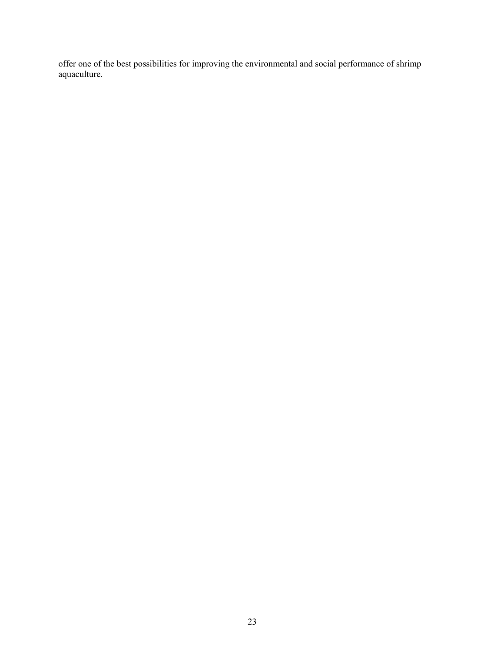offer one of the best possibilities for improving the environmental and social performance of shrimp aquaculture.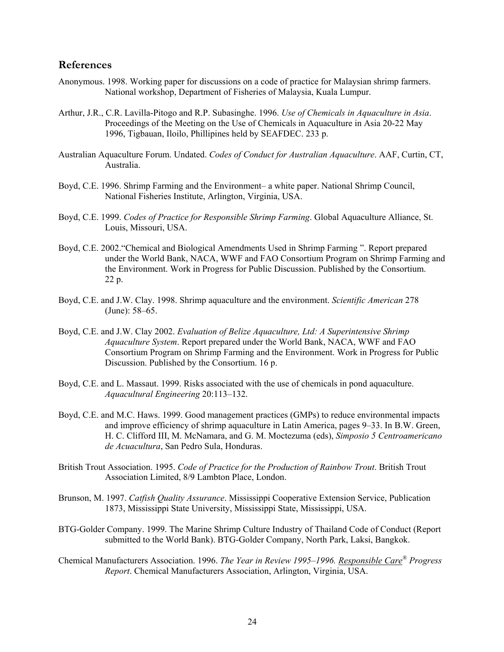#### <span id="page-30-0"></span>**References**

- Anonymous. 1998. Working paper for discussions on a code of practice for Malaysian shrimp farmers. National workshop, Department of Fisheries of Malaysia, Kuala Lumpur.
- Arthur, J.R., C.R. Lavilla-Pitogo and R.P. Subasinghe. 1996. *Use of Chemicals in Aquaculture in Asia*. Proceedings of the Meeting on the Use of Chemicals in Aquaculture in Asia 20-22 May 1996, Tigbauan, Iloilo, Phillipines held by SEAFDEC. 233 p.
- Australian Aquaculture Forum. Undated. *Codes of Conduct for Australian Aquaculture*. AAF, Curtin, CT, Australia.
- Boyd, C.E. 1996. Shrimp Farming and the Environment– a white paper. National Shrimp Council, National Fisheries Institute, Arlington, Virginia, USA.
- Boyd, C.E. 1999. *Codes of Practice for Responsible Shrimp Farming*. Global Aquaculture Alliance, St. Louis, Missouri, USA.
- Boyd, C.E. 2002."Chemical and Biological Amendments Used in Shrimp Farming ". Report prepared under the World Bank, NACA, WWF and FAO Consortium Program on Shrimp Farming and the Environment. Work in Progress for Public Discussion. Published by the Consortium. 22 p.
- Boyd, C.E. and J.W. Clay. 1998. Shrimp aquaculture and the environment. *Scientific American* 278 (June): 58–65.
- Boyd, C.E. and J.W. Clay 2002. *Evaluation of Belize Aquaculture, Ltd: A Superintensive Shrimp Aquaculture System*. Report prepared under the World Bank, NACA, WWF and FAO Consortium Program on Shrimp Farming and the Environment. Work in Progress for Public Discussion. Published by the Consortium. 16 p.
- Boyd, C.E. and L. Massaut. 1999. Risks associated with the use of chemicals in pond aquaculture. *Aquacultural Engineering* 20:113–132.
- Boyd, C.E. and M.C. Haws. 1999. Good management practices (GMPs) to reduce environmental impacts and improve efficiency of shrimp aquaculture in Latin America, pages 9–33. In B.W. Green, H. C. Clifford III, M. McNamara, and G. M. Moctezuma (eds), *Simposio 5 Centroamericano de Acuacultura*, San Pedro Sula, Honduras.
- British Trout Association. 1995. *Code of Practice for the Production of Rainbow Trout*. British Trout Association Limited, 8/9 Lambton Place, London.
- Brunson, M. 1997. *Catfish Quality Assurance*. Mississippi Cooperative Extension Service, Publication 1873, Mississippi State University, Mississippi State, Mississippi, USA.
- BTG-Golder Company. 1999. The Marine Shrimp Culture Industry of Thailand Code of Conduct (Report submitted to the World Bank). BTG-Golder Company, North Park, Laksi, Bangkok.
- Chemical Manufacturers Association. 1996. *The Year in Review 1995–1996. Responsible Care® Progress Report*. Chemical Manufacturers Association, Arlington, Virginia, USA.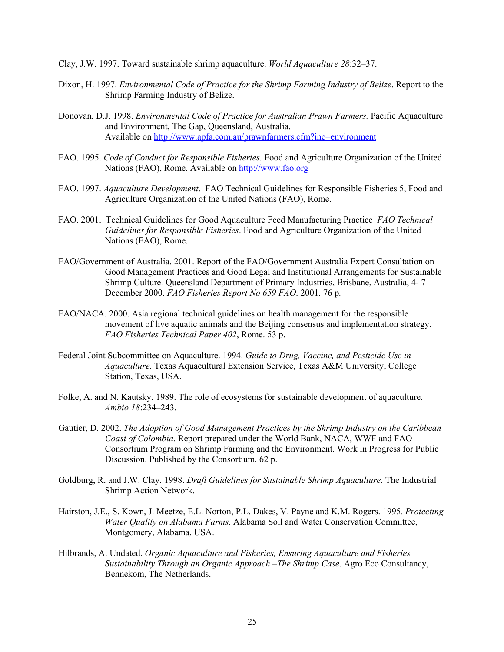- Clay, J.W. 1997. Toward sustainable shrimp aquaculture. *World Aquaculture 28*:32–37.
- Dixon, H. 1997. *Environmental Code of Practice for the Shrimp Farming Industry of Belize*. Report to the Shrimp Farming Industry of Belize.
- Donovan, D.J. 1998. *Environmental Code of Practice for Australian Prawn Farmers.* Pacific Aquaculture and Environment, The Gap, Queensland, Australia. Available on <http://www.apfa.com.au/prawnfarmers.cfm?inc=environment>
- FAO. 1995. *Code of Conduct for Responsible Fisheries.* Food and Agriculture Organization of the United Nations (FAO), Rome. Available on [http://www.fao.org](http://www.fao.org/)
- FAO. 1997. *Aquaculture Development*. FAO Technical Guidelines for Responsible Fisheries 5, Food and Agriculture Organization of the United Nations (FAO), Rome.
- FAO. 2001. Technical Guidelines for Good Aquaculture Feed Manufacturing Practice *FAO Technical Guidelines for Responsible Fisheries*. Food and Agriculture Organization of the United Nations (FAO), Rome.
- FAO/Government of Australia. 2001. Report of the FAO/Government Australia Expert Consultation on Good Management Practices and Good Legal and Institutional Arrangements for Sustainable Shrimp Culture. Queensland Department of Primary Industries, Brisbane, Australia, 4- 7 December 2000. *FAO Fisheries Report No 659 FAO*. 2001. 76 p*.*
- FAO/NACA. 2000. Asia regional technical guidelines on health management for the responsible movement of live aquatic animals and the Beijing consensus and implementation strategy. *FAO Fisheries Technical Paper 402*, Rome. 53 p.
- Federal Joint Subcommittee on Aquaculture. 1994. *Guide to Drug, Vaccine, and Pesticide Use in Aquaculture.* Texas Aquacultural Extension Service, Texas A&M University, College Station, Texas, USA.
- Folke, A. and N. Kautsky. 1989. The role of ecosystems for sustainable development of aquaculture. *Ambio 18*:234–243.
- Gautier, D. 2002. *The Adoption of Good Management Practices by the Shrimp Industry on the Caribbean Coast of Colombia*. Report prepared under the World Bank, NACA, WWF and FAO Consortium Program on Shrimp Farming and the Environment. Work in Progress for Public Discussion. Published by the Consortium. 62 p.
- Goldburg, R. and J.W. Clay. 1998. *Draft Guidelines for Sustainable Shrimp Aquaculture*. The Industrial Shrimp Action Network.
- Hairston, J.E., S. Kown, J. Meetze, E.L. Norton, P.L. Dakes, V. Payne and K.M. Rogers. 1995*. Protecting Water Quality on Alabama Farms*. Alabama Soil and Water Conservation Committee, Montgomery, Alabama, USA.
- Hilbrands, A. Undated. *Organic Aquaculture and Fisheries, Ensuring Aquaculture and Fisheries Sustainability Through an Organic Approach –The Shrimp Case*. Agro Eco Consultancy, Bennekom, The Netherlands.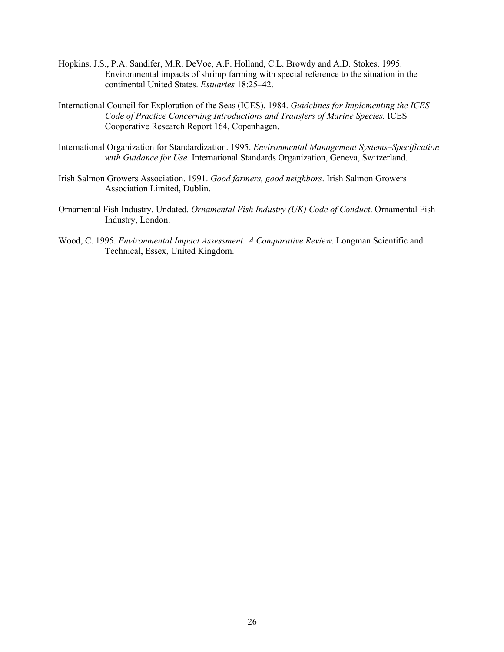- Hopkins, J.S., P.A. Sandifer, M.R. DeVoe, A.F. Holland, C.L. Browdy and A.D. Stokes. 1995. Environmental impacts of shrimp farming with special reference to the situation in the continental United States. *Estuaries* 18:25–42.
- International Council for Exploration of the Seas (ICES). 1984. *Guidelines for Implementing the ICES Code of Practice Concerning Introductions and Transfers of Marine Species.* ICES Cooperative Research Report 164, Copenhagen.
- International Organization for Standardization. 1995. *Environmental Management Systems–Specification with Guidance for Use.* International Standards Organization, Geneva, Switzerland.
- Irish Salmon Growers Association. 1991. *Good farmers, good neighbors*. Irish Salmon Growers Association Limited, Dublin.
- Ornamental Fish Industry. Undated. *Ornamental Fish Industry (UK) Code of Conduct*. Ornamental Fish Industry, London.
- Wood, C. 1995. *Environmental Impact Assessment: A Comparative Review*. Longman Scientific and Technical, Essex, United Kingdom.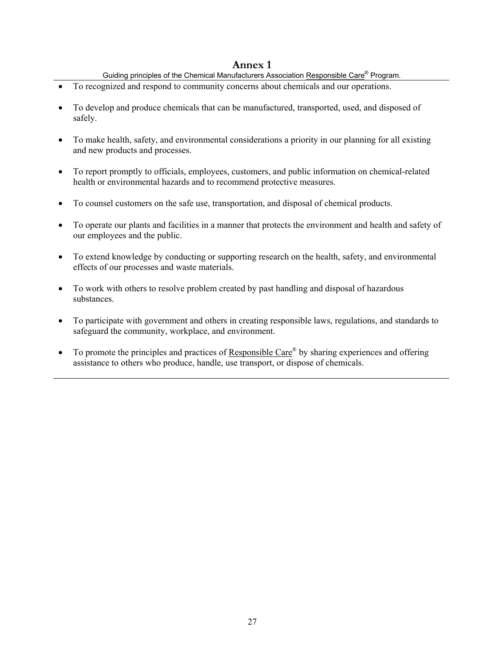- Guiding principles of the Chemical Manufacturers Association Responsible Care<sup>®</sup> Program.
- <span id="page-33-0"></span>• To recognized and respond to community concerns about chemicals and our operations.
- To develop and produce chemicals that can be manufactured, transported, used, and disposed of safely.
- To make health, safety, and environmental considerations a priority in our planning for all existing and new products and processes.
- To report promptly to officials, employees, customers, and public information on chemical-related health or environmental hazards and to recommend protective measures.
- To counsel customers on the safe use, transportation, and disposal of chemical products.
- To operate our plants and facilities in a manner that protects the environment and health and safety of our employees and the public.
- To extend knowledge by conducting or supporting research on the health, safety, and environmental effects of our processes and waste materials.
- To work with others to resolve problem created by past handling and disposal of hazardous substances.
- To participate with government and others in creating responsible laws, regulations, and standards to safeguard the community, workplace, and environment.
- To promote the principles and practices of Responsible Care<sup>®</sup> by sharing experiences and offering assistance to others who produce, handle, use transport, or dispose of chemicals.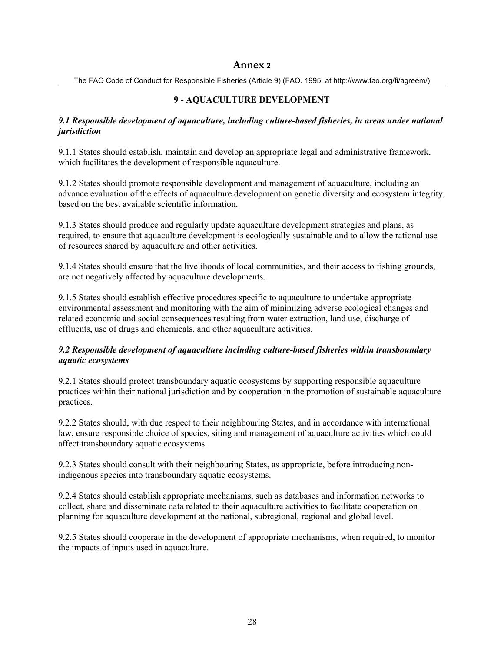The FAO Code of Conduct for Responsible Fisheries (Article 9) (FAO. 1995. at http://www.fao.org/fi/agreem/)

## **9 - AQUACULTURE DEVELOPMENT**

#### *9.1 Responsible development of aquaculture, including culture-based fisheries, in areas under national jurisdiction*

9.1.1 States should establish, maintain and develop an appropriate legal and administrative framework, which facilitates the development of responsible aquaculture.

9.1.2 States should promote responsible development and management of aquaculture, including an advance evaluation of the effects of aquaculture development on genetic diversity and ecosystem integrity, based on the best available scientific information.

9.1.3 States should produce and regularly update aquaculture development strategies and plans, as required, to ensure that aquaculture development is ecologically sustainable and to allow the rational use of resources shared by aquaculture and other activities.

9.1.4 States should ensure that the livelihoods of local communities, and their access to fishing grounds, are not negatively affected by aquaculture developments.

9.1.5 States should establish effective procedures specific to aquaculture to undertake appropriate environmental assessment and monitoring with the aim of minimizing adverse ecological changes and related economic and social consequences resulting from water extraction, land use, discharge of effluents, use of drugs and chemicals, and other aquaculture activities.

#### *9.2 Responsible development of aquaculture including culture-based fisheries within transboundary aquatic ecosystems*

9.2.1 States should protect transboundary aquatic ecosystems by supporting responsible aquaculture practices within their national jurisdiction and by cooperation in the promotion of sustainable aquaculture practices.

9.2.2 States should, with due respect to their neighbouring States, and in accordance with international law, ensure responsible choice of species, siting and management of aquaculture activities which could affect transboundary aquatic ecosystems.

9.2.3 States should consult with their neighbouring States, as appropriate, before introducing nonindigenous species into transboundary aquatic ecosystems.

9.2.4 States should establish appropriate mechanisms, such as databases and information networks to collect, share and disseminate data related to their aquaculture activities to facilitate cooperation on planning for aquaculture development at the national, subregional, regional and global level.

9.2.5 States should cooperate in the development of appropriate mechanisms, when required, to monitor the impacts of inputs used in aquaculture.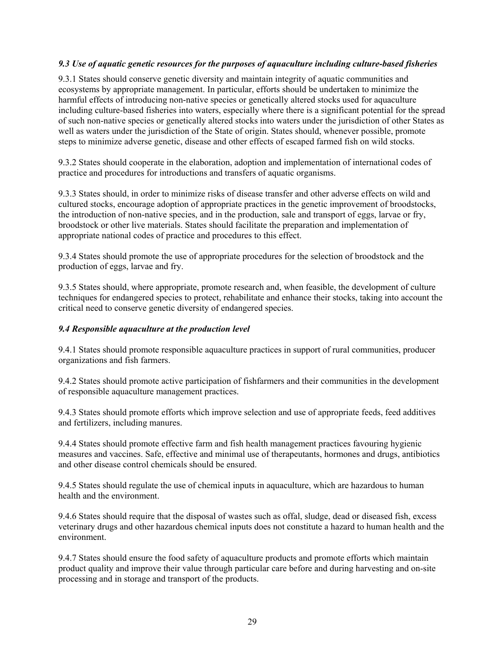#### *9.3 Use of aquatic genetic resources for the purposes of aquaculture including culture-based fisheries*

9.3.1 States should conserve genetic diversity and maintain integrity of aquatic communities and ecosystems by appropriate management. In particular, efforts should be undertaken to minimize the harmful effects of introducing non-native species or genetically altered stocks used for aquaculture including culture-based fisheries into waters, especially where there is a significant potential for the spread of such non-native species or genetically altered stocks into waters under the jurisdiction of other States as well as waters under the jurisdiction of the State of origin. States should, whenever possible, promote steps to minimize adverse genetic, disease and other effects of escaped farmed fish on wild stocks.

9.3.2 States should cooperate in the elaboration, adoption and implementation of international codes of practice and procedures for introductions and transfers of aquatic organisms.

9.3.3 States should, in order to minimize risks of disease transfer and other adverse effects on wild and cultured stocks, encourage adoption of appropriate practices in the genetic improvement of broodstocks, the introduction of non-native species, and in the production, sale and transport of eggs, larvae or fry, broodstock or other live materials. States should facilitate the preparation and implementation of appropriate national codes of practice and procedures to this effect.

9.3.4 States should promote the use of appropriate procedures for the selection of broodstock and the production of eggs, larvae and fry.

9.3.5 States should, where appropriate, promote research and, when feasible, the development of culture techniques for endangered species to protect, rehabilitate and enhance their stocks, taking into account the critical need to conserve genetic diversity of endangered species.

#### *9.4 Responsible aquaculture at the production level*

9.4.1 States should promote responsible aquaculture practices in support of rural communities, producer organizations and fish farmers.

9.4.2 States should promote active participation of fishfarmers and their communities in the development of responsible aquaculture management practices.

9.4.3 States should promote efforts which improve selection and use of appropriate feeds, feed additives and fertilizers, including manures.

9.4.4 States should promote effective farm and fish health management practices favouring hygienic measures and vaccines. Safe, effective and minimal use of therapeutants, hormones and drugs, antibiotics and other disease control chemicals should be ensured.

9.4.5 States should regulate the use of chemical inputs in aquaculture, which are hazardous to human health and the environment.

9.4.6 States should require that the disposal of wastes such as offal, sludge, dead or diseased fish, excess veterinary drugs and other hazardous chemical inputs does not constitute a hazard to human health and the environment.

9.4.7 States should ensure the food safety of aquaculture products and promote efforts which maintain product quality and improve their value through particular care before and during harvesting and on-site processing and in storage and transport of the products.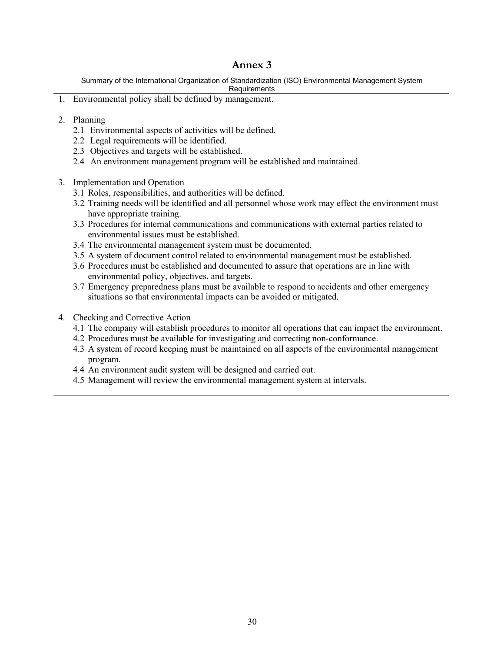Summary of the International Organization of Standardization (ISO) Environmental Management System

Requirements

- 1. Environmental policy shall be defined by management.
- 2. Planning
	- 2.1 Environmental aspects of activities will be defined.
	- 2.2 Legal requirements will be identified.
	- 2.3 Objectives and targets will be established.
	- 2.4 An environment management program will be established and maintained.
- 3. Implementation and Operation
	- 3.1 Roles, responsibilities, and authorities will be defined.
	- 3.2 Training needs will be identified and all personnel whose work may effect the environment must have appropriate training.
	- 3.3 Procedures for internal communications and communications with external parties related to environmental issues must be established.
	- 3.4 The environmental management system must be documented.
	- 3.5 A system of document control related to environmental management must be established.
	- 3.6 Procedures must be established and documented to assure that operations are in line with environmental policy, objectives, and targets.
	- 3.7 Emergency preparedness plans must be available to respond to accidents and other emergency situations so that environmental impacts can be avoided or mitigated.
- 4. Checking and Corrective Action
	- 4.1 The company will establish procedures to monitor all operations that can impact the environment.
	- 4.2 Procedures must be available for investigating and correcting non-conformance.
	- 4.3 A system of record keeping must be maintained on all aspects of the environmental management program.
	- 4.4 An environment audit system will be designed and carried out.
	- 4.5 Management will review the environmental management system at intervals.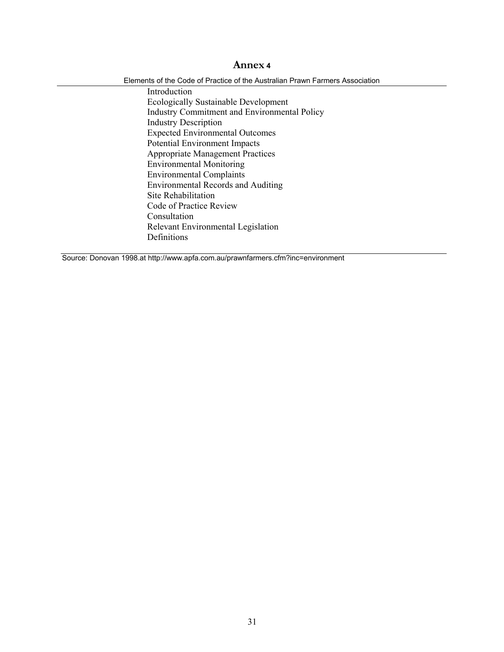Elements of the Code of Practice of the Australian Prawn Farmers Association

Introduction Ecologically Sustainable Development Industry Commitment and Environmental Policy Industry Description Expected Environmental Outcomes Potential Environment Impacts Appropriate Management Practices Environmental Monitoring Environmental Complaints Environmental Records and Auditing Site Rehabilitation Code of Practice Review Consultation Relevant Environmental Legislation Definitions

Source: Donovan 1998.at http://www.apfa.com.au/prawnfarmers.cfm?inc=environment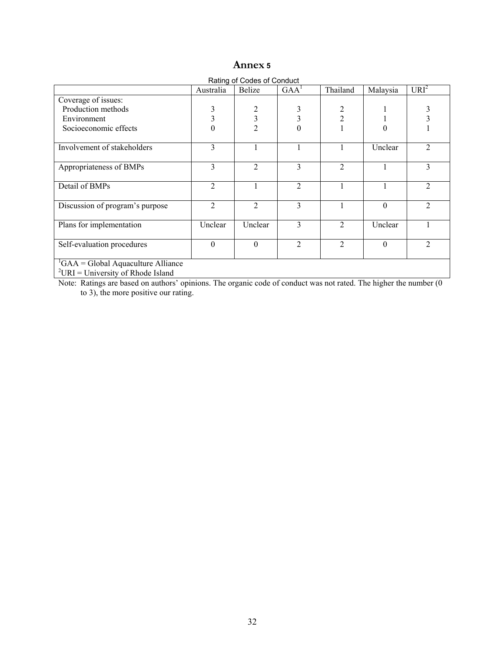| Rating of Codes of Conduct                          |                |                |                  |                |          |                  |  |  |  |
|-----------------------------------------------------|----------------|----------------|------------------|----------------|----------|------------------|--|--|--|
|                                                     | Australia      | Belize         | GAA <sup>1</sup> | Thailand       | Malaysia | URI <sup>2</sup> |  |  |  |
| Coverage of issues:                                 |                |                |                  |                |          |                  |  |  |  |
| Production methods                                  | 3              | 2              | 3                | 2              |          |                  |  |  |  |
| Environment                                         | 3              | 3              | 3                | $\overline{c}$ |          |                  |  |  |  |
| Socioeconomic effects                               | 0              | $\overline{c}$ | $\overline{0}$   |                | 0        |                  |  |  |  |
| Involvement of stakeholders                         | $\mathcal{E}$  |                |                  |                | Unclear  | $\mathfrak{D}$   |  |  |  |
| Appropriateness of BMPs                             | 3              | $\overline{2}$ | 3                | $\overline{2}$ |          | 3                |  |  |  |
| Detail of BMPs                                      | 2              |                | $\overline{2}$   |                |          | $\overline{2}$   |  |  |  |
| Discussion of program's purpose                     | $\overline{2}$ | 2              | 3                |                | $\Omega$ | $\mathfrak{D}$   |  |  |  |
| Plans for implementation                            | Unclear        | Unclear        | 3                | $\mathfrak{D}$ | Unclear  |                  |  |  |  |
| Self-evaluation procedures                          | $\theta$       | $\theta$       | $\overline{2}$   | $\overline{2}$ | $\theta$ | $\mathfrak{D}$   |  |  |  |
| ${}^{1}GAA = Global$ Aquaculture Alliance<br>$2\pi$ |                |                |                  |                |          |                  |  |  |  |

 $^{2}$ URI = University of Rhode Island

Note: Ratings are based on authors' opinions. The organic code of conduct was not rated. The higher the number (0 to 3), the more nositive our rating to 3), the more positive our rating.